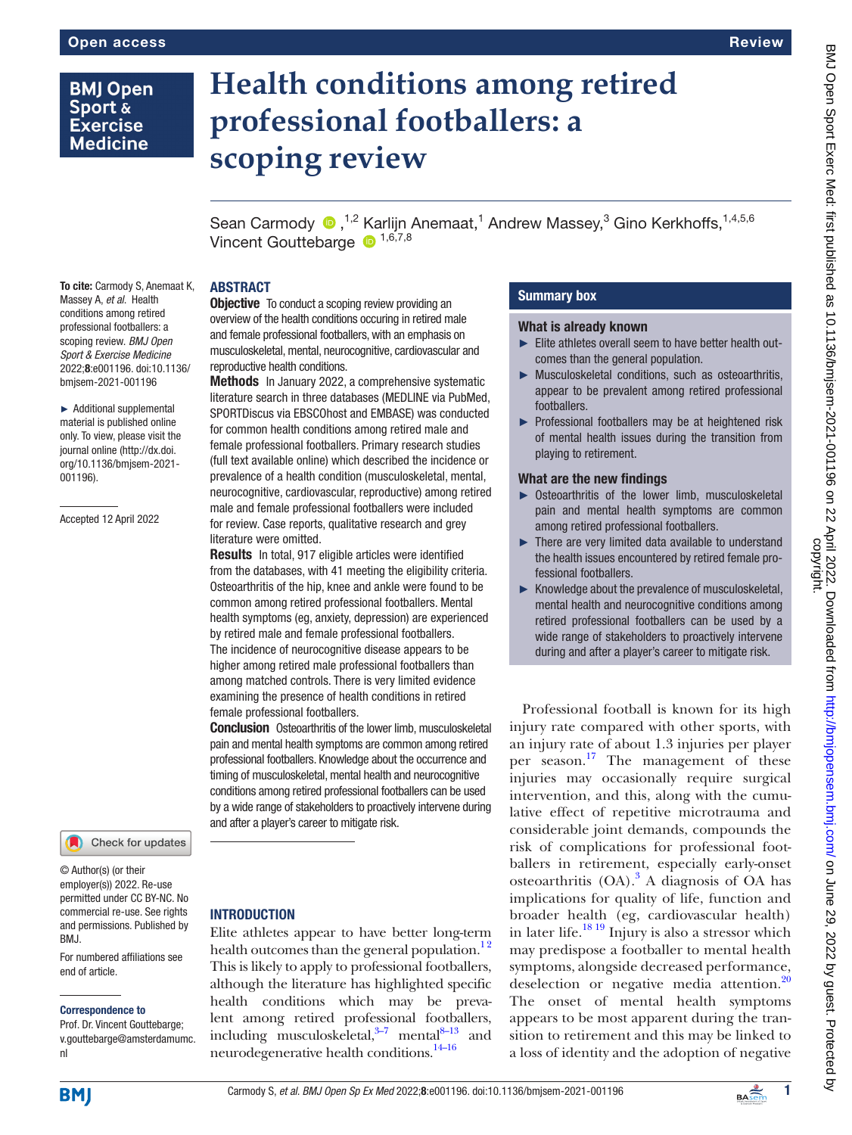# BMJ Open Sport Exerc Med: first published as 10.1136/bmjsem-2021-001196 on 22 April 2022. Downloaded from http://bmjopensem.bmj.com/ on June 29, 2022 by guest. Protected by<br>copyright. BMJ Open Sport Exerc Med: first published as 10.1136/bmjsem-2021-001196 on 22 April 2022. Downloaded from http://bmj.com/ on June 29, 2022. by guest. Protected by

## **BMJ Open** Sport & **Exercise Medicine**

To cite: Carmody S, Anemaat K, Massey A, *et al*. Health conditions among retired professional footballers: a scoping review. *BMJ Open Sport & Exercise Medicine* 2022;8:e001196. doi:10.1136/ bmjsem-2021-001196 ► Additional supplemental material is published online only. To view, please visit the journal online ([http://dx.doi.](http://dx.doi.org/10.1136/bmjsem-2021-001196) [org/10.1136/bmjsem-2021-](http://dx.doi.org/10.1136/bmjsem-2021-001196)

[001196](http://dx.doi.org/10.1136/bmjsem-2021-001196)).

Accepted 12 April 2022

# **Health conditions among retired professional footballers: a scoping review**

SeanCarmody  $\bullet$ , <sup>1,2</sup> Karlijn Anemaat, <sup>1</sup> Andrew Massey, <sup>3</sup> Gino Kerkhoffs, <sup>1,4,5,6</sup> Vincent Gouttebarge <sup>1,6,7,8</sup>

## ABSTRACT

**Objective** To conduct a scoping review providing an overview of the health conditions occuring in retired male and female professional footballers, with an emphasis on musculoskeletal, mental, neurocognitive, cardiovascular and reproductive health conditions.

Methods In January 2022, a comprehensive systematic literature search in three databases (MEDLINE via PubMed, SPORTDiscus via EBSCOhost and EMBASE) was conducted for common health conditions among retired male and female professional footballers. Primary research studies (full text available online) which described the incidence or prevalence of a health condition (musculoskeletal, mental, neurocognitive, cardiovascular, reproductive) among retired male and female professional footballers were included for review. Case reports, qualitative research and grey literature were omitted.

Results In total, 917 eligible articles were identified from the databases, with 41 meeting the eligibility criteria. Osteoarthritis of the hip, knee and ankle were found to be common among retired professional footballers. Mental health symptoms (eg, anxiety, depression) are experienced by retired male and female professional footballers. The incidence of neurocognitive disease appears to be higher among retired male professional footballers than among matched controls. There is very limited evidence examining the presence of health conditions in retired female professional footballers.

**Conclusion** Osteoarthritis of the lower limb, musculoskeletal pain and mental health symptoms are common among retired professional footballers. Knowledge about the occurrence and timing of musculoskeletal, mental health and neurocognitive conditions among retired professional footballers can be used by a wide range of stakeholders to proactively intervene during and after a player's career to mitigate risk.

### **INTRODUCTION**

Elite athletes appear to have better long-term health outcomes than the general population.<sup>12</sup> This is likely to apply to professional footballers, although the literature has highlighted specific health conditions which may be prevalent among retired professional footballers, including musculoskeletal, $3\frac{3}{7}$  mental $8\frac{13}{13}$  and neurodegenerative health conditions.<sup>14–16</sup>

### Summary box

### What is already known

- ► Elite athletes overall seem to have better health outcomes than the general population.
- ► Musculoskeletal conditions, such as osteoarthritis, appear to be prevalent among retired professional footballers.
- ► Professional footballers may be at heightened risk of mental health issues during the transition from playing to retirement.

### What are the new findings

- ► Osteoarthritis of the lower limb, musculoskeletal pain and mental health symptoms are common among retired professional footballers.
- ► There are very limited data available to understand the health issues encountered by retired female professional footballers.
- ► Knowledge about the prevalence of musculoskeletal, mental health and neurocognitive conditions among retired professional footballers can be used by a wide range of stakeholders to proactively intervene during and after a player's career to mitigate risk.

Professional football is known for its high injury rate compared with other sports, with an injury rate of about 1.3 injuries per player per season. [17](#page-14-1) The management of these injuries may occasionally require surgical intervention, and this, along with the cumulative effect of repetitive microtrauma and considerable joint demands, compounds the risk of complications for professional footballers in retirement, especially early-onset osteoarthritis (OA).<sup>3</sup> A diagnosis of OA has implications for quality of life, function and broader health (eg, cardiovascular health) in later life. $\frac{1819}{2}$  Injury is also a stressor which may predispose a footballer to mental health symptoms, alongside decreased performance, deselection or negative media attention.<sup>20</sup> The onset of mental health symptoms appears to be most apparent during the transition to retirement and this may be linked to a loss of identity and the adoption of negative

**BMJ** 

nl

For numbered affiliations see

Check for updates

end of article.

BMJ.

Correspondence to Prof. Dr. Vincent Gouttebarge; v.gouttebarge@amsterdamumc.

© Author(s) (or their employer(s)) 2022. Re-use permitted under CC BY-NC. No commercial re-use. See rights and permissions. Published by

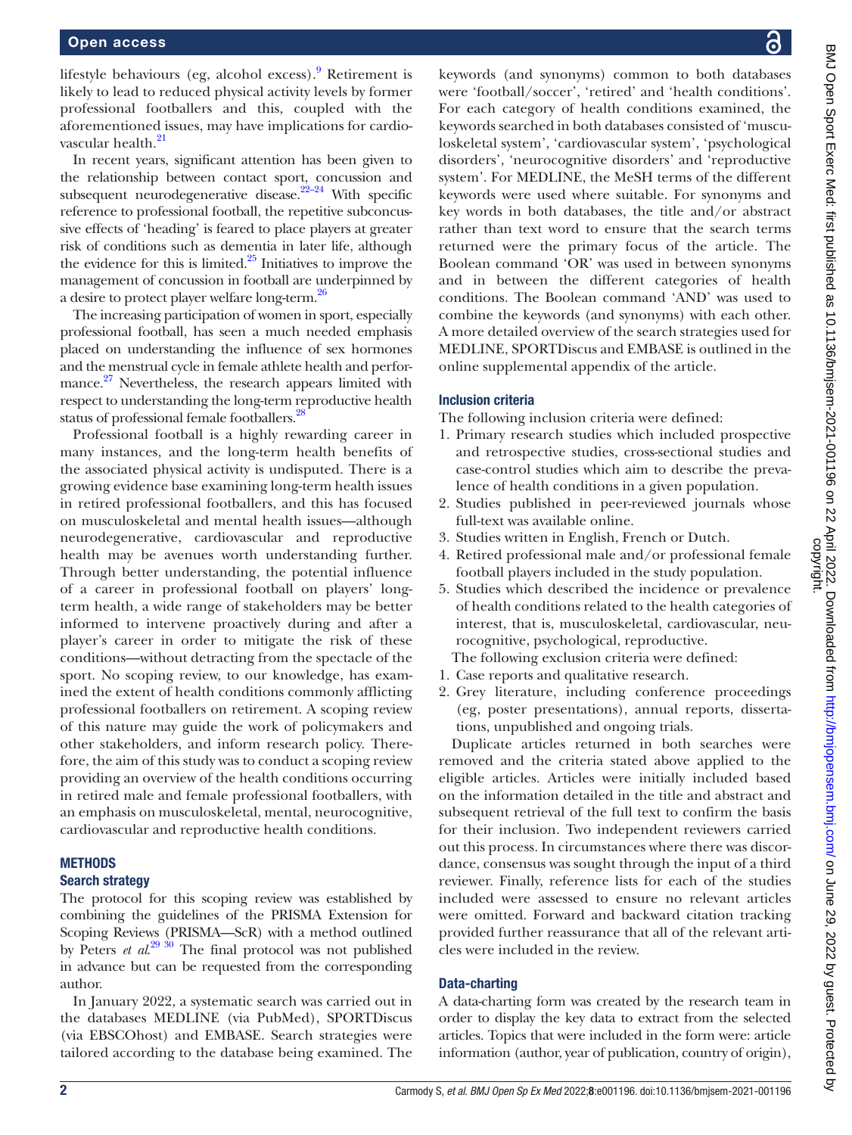lifestyle behaviours (eg, alcohol excess).<sup>9</sup> Retirement is likely to lead to reduced physical activity levels by former professional footballers and this, coupled with the aforementioned issues, may have implications for cardio-vascular health.<sup>[21](#page-14-4)</sup>

In recent years, significant attention has been given to the relationship between contact sport, concussion and subsequent neurodegenerative disease. $22-24$  With specific reference to professional football, the repetitive subconcussive effects of 'heading' is feared to place players at greater risk of conditions such as dementia in later life, although the evidence for this is limited. $^{25}$  Initiatives to improve the management of concussion in football are underpinned by a desire to protect player welfare long-term.<sup>26</sup>

The increasing participation of women in sport, especially professional football, has seen a much needed emphasis placed on understanding the influence of sex hormones and the menstrual cycle in female athlete health and performance.<sup>27</sup> Nevertheless, the research appears limited with respect to understanding the long-term reproductive health status of professional female footballers.<sup>28</sup>

Professional football is a highly rewarding career in many instances, and the long-term health benefits of the associated physical activity is undisputed. There is a growing evidence base examining long-term health issues in retired professional footballers, and this has focused on musculoskeletal and mental health issues—although neurodegenerative, cardiovascular and reproductive health may be avenues worth understanding further. Through better understanding, the potential influence of a career in professional football on players' longterm health, a wide range of stakeholders may be better informed to intervene proactively during and after a player's career in order to mitigate the risk of these conditions—without detracting from the spectacle of the sport. No scoping review, to our knowledge, has examined the extent of health conditions commonly afflicting professional footballers on retirement. A scoping review of this nature may guide the work of policymakers and other stakeholders, and inform research policy. Therefore, the aim of this study was to conduct a scoping review providing an overview of the health conditions occurring in retired male and female professional footballers, with an emphasis on musculoskeletal, mental, neurocognitive, cardiovascular and reproductive health conditions.

### **METHODS**

### Search strategy

The protocol for this scoping review was established by combining the guidelines of the PRISMA Extension for Scoping Reviews (PRISMA—ScR) with a method outlined by Peters *et al.*<sup>[29 30](#page-14-10)</sup> The final protocol was not published in advance but can be requested from the corresponding author.

In January 2022, a systematic search was carried out in the databases MEDLINE (via PubMed), SPORTDiscus (via EBSCOhost) and EMBASE. Search strategies were tailored according to the database being examined. The

keywords (and synonyms) common to both databases were 'football/soccer', 'retired' and 'health conditions'. For each category of health conditions examined, the keywords searched in both databases consisted of 'musculoskeletal system', 'cardiovascular system', 'psychological disorders', 'neurocognitive disorders' and 'reproductive system'. For MEDLINE, the MeSH terms of the different keywords were used where suitable. For synonyms and key words in both databases, the title and/or abstract rather than text word to ensure that the search terms returned were the primary focus of the article. The Boolean command 'OR' was used in between synonyms and in between the different categories of health conditions. The Boolean command 'AND' was used to combine the keywords (and synonyms) with each other. A more detailed overview of the search strategies used for MEDLINE, SPORTDiscus and EMBASE is outlined in the [online supplemental appendix](https://dx.doi.org/10.1136/bmjsem-2021-001196) of the article.

### Inclusion criteria

The following inclusion criteria were defined:

- 1. Primary research studies which included prospective and retrospective studies, cross-sectional studies and case-control studies which aim to describe the prevalence of health conditions in a given population.
- 2. Studies published in peer-reviewed journals whose full-text was available online.
- 3. Studies written in English, French or Dutch.
- 4. Retired professional male and/or professional female football players included in the study population.
- 5. Studies which described the incidence or prevalence of health conditions related to the health categories of interest, that is, musculoskeletal, cardiovascular, neurocognitive, psychological, reproductive.
- The following exclusion criteria were defined:
- 1. Case reports and qualitative research.
- 2. Grey literature, including conference proceedings (eg, poster presentations), annual reports, dissertations, unpublished and ongoing trials.

Duplicate articles returned in both searches were removed and the criteria stated above applied to the eligible articles. Articles were initially included based on the information detailed in the title and abstract and subsequent retrieval of the full text to confirm the basis for their inclusion. Two independent reviewers carried out this process. In circumstances where there was discordance, consensus was sought through the input of a third reviewer. Finally, reference lists for each of the studies included were assessed to ensure no relevant articles were omitted. Forward and backward citation tracking provided further reassurance that all of the relevant articles were included in the review.

### Data-charting

A data-charting form was created by the research team in order to display the key data to extract from the selected articles. Topics that were included in the form were: article information (author, year of publication, country of origin),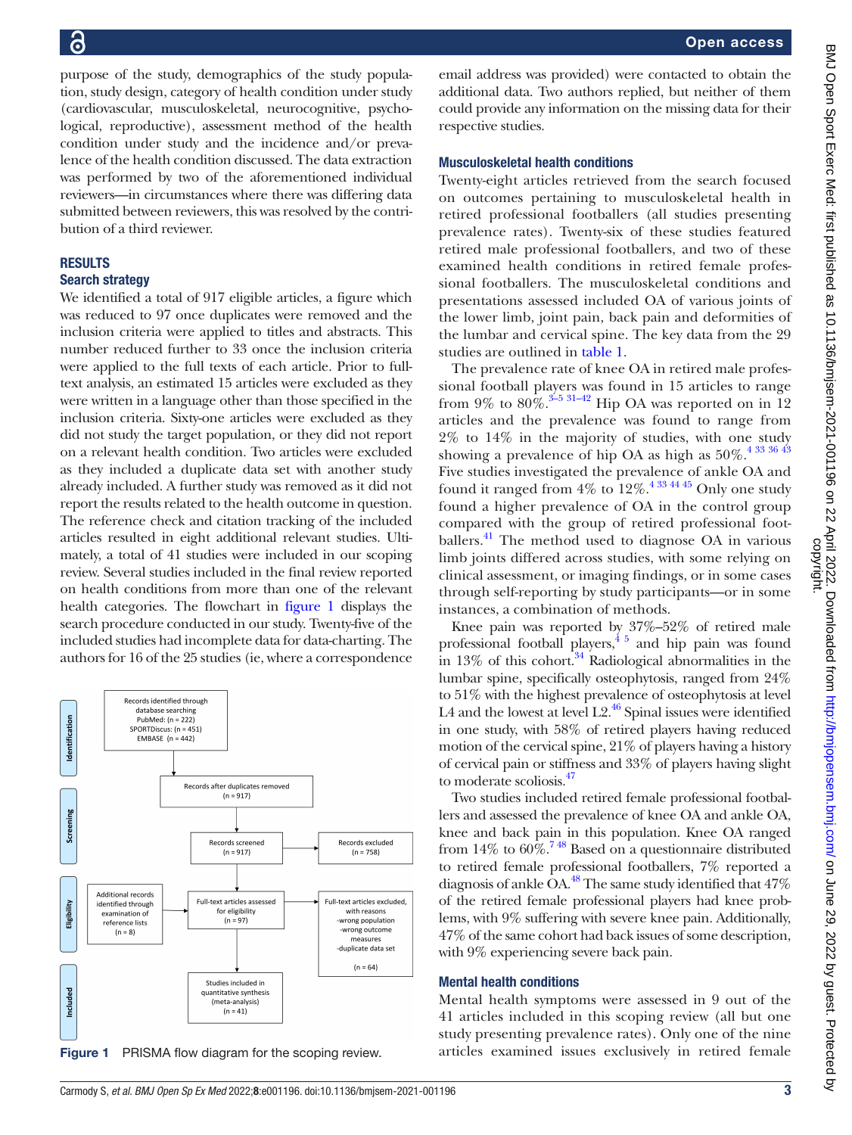purpose of the study, demographics of the study population, study design, category of health condition under study (cardiovascular, musculoskeletal, neurocognitive, psychological, reproductive), assessment method of the health condition under study and the incidence and/or prevalence of the health condition discussed. The data extraction was performed by two of the aforementioned individual reviewers—in circumstances where there was differing data submitted between reviewers, this was resolved by the contribution of a third reviewer.

### RESULTS

### Search strategy

We identified a total of 917 eligible articles, a figure which was reduced to 97 once duplicates were removed and the inclusion criteria were applied to titles and abstracts. This number reduced further to 33 once the inclusion criteria were applied to the full texts of each article. Prior to fulltext analysis, an estimated 15 articles were excluded as they were written in a language other than those specified in the inclusion criteria. Sixty-one articles were excluded as they did not study the target population, or they did not report on a relevant health condition. Two articles were excluded as they included a duplicate data set with another study already included. A further study was removed as it did not report the results related to the health outcome in question. The reference check and citation tracking of the included articles resulted in eight additional relevant studies. Ultimately, a total of 41 studies were included in our scoping review. Several studies included in the final review reported on health conditions from more than one of the relevant health categories. The flowchart in [figure](#page-2-0) 1 displays the search procedure conducted in our study. Twenty-five of the included studies had incomplete data for data-charting. The authors for 16 of the 25 studies (ie, where a correspondence



<span id="page-2-0"></span>

email address was provided) were contacted to obtain the additional data. Two authors replied, but neither of them could provide any information on the missing data for their respective studies.

### Musculoskeletal health conditions

Twenty-eight articles retrieved from the search focused on outcomes pertaining to musculoskeletal health in retired professional footballers (all studies presenting prevalence rates). Twenty-six of these studies featured retired male professional footballers, and two of these examined health conditions in retired female professional footballers. The musculoskeletal conditions and presentations assessed included OA of various joints of the lower limb, joint pain, back pain and deformities of the lumbar and cervical spine. The key data from the 29 studies are outlined in [table](#page-3-0) 1.

The prevalence rate of knee OA in retired male professional football players was found in 15 articles to range from 9% to  $80\%$ .<sup>[3–5 31–42](#page-13-1)</sup> Hip OA was reported on in 12 articles and the prevalence was found to range from 2% to 14% in the majority of studies, with one study showing a prevalence of hip OA as high as  $50\%$ .<sup>433 36 43</sup> Five studies investigated the prevalence of ankle OA and found it ranged from  $4\%$  to  $12\%$ .<sup>433</sup> 444<sup>5</sup> Only one study found a higher prevalence of OA in the control group compared with the group of retired professional footballers. $41$  The method used to diagnose OA in various limb joints differed across studies, with some relying on clinical assessment, or imaging findings, or in some cases through self-reporting by study participants—or in some instances, a combination of methods.

Knee pain was reported by 37%–52% of retired male professional football players, $45$  and hip pain was found in 13% of this cohort.  $34 \text{ \AA}$  $34 \text{ \AA}$  Radiological abnormalities in the lumbar spine, specifically osteophytosis, ranged from 24% to 51% with the highest prevalence of osteophytosis at level L4 and the lowest at level L2. $^{46}$  Spinal issues were identified in one study, with 58% of retired players having reduced motion of the cervical spine, 21% of players having a history of cervical pain or stiffness and 33% of players having slight to moderate scoliosis.[47](#page-14-14)

Two studies included retired female professional footballers and assessed the prevalence of knee OA and ankle OA, knee and back pain in this population. Knee OA ranged from 14% to  $60\%$ .<sup>748</sup> Based on a questionnaire distributed to retired female professional footballers, 7% reported a diagnosis of ankle OA.<sup>48</sup> The same study identified that  $47\%$ of the retired female professional players had knee problems, with 9% suffering with severe knee pain. Additionally, 47% of the same cohort had back issues of some description, with 9% experiencing severe back pain.

### Mental health conditions

Mental health symptoms were assessed in 9 out of the 41 articles included in this scoping review (all but one study presenting prevalence rates). Only one of the nine Figure 1 PRISMA flow diagram for the scoping review. articles examined issues exclusively in retired female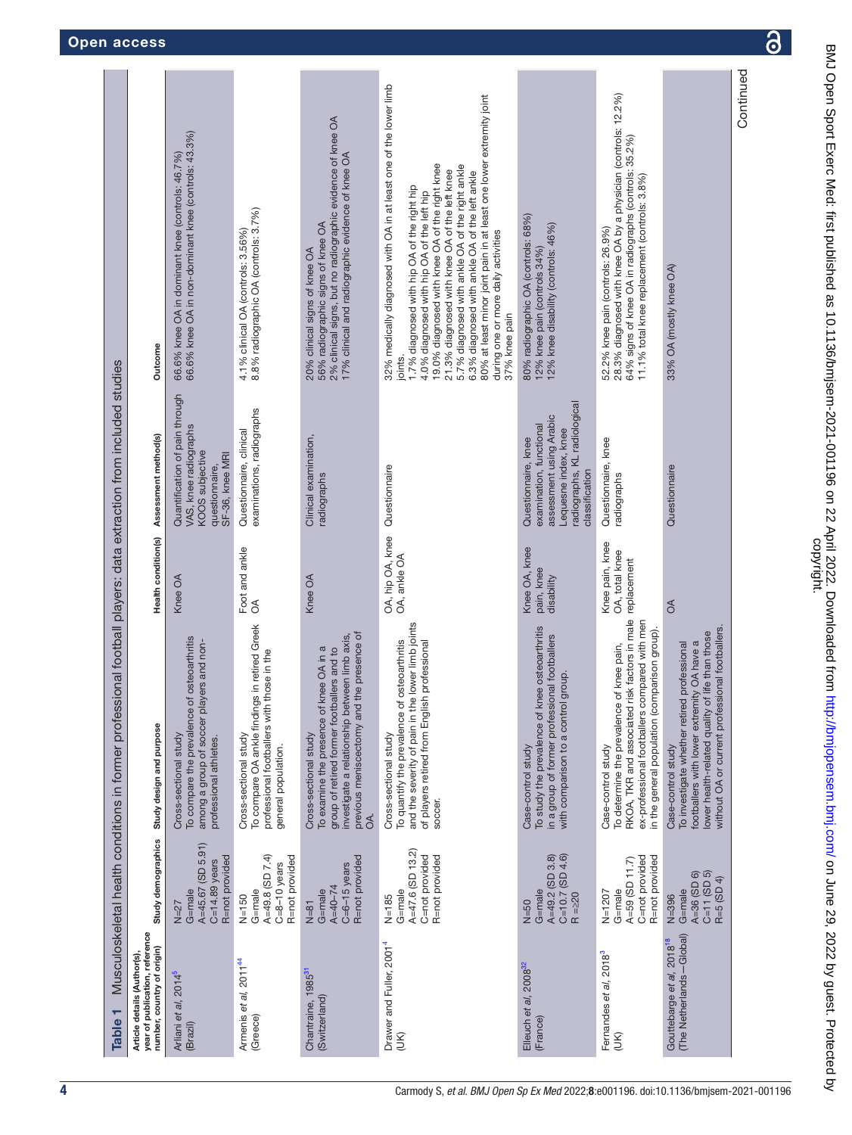<span id="page-3-0"></span>

| Table <sub>1</sub>                                                                         |                                                                                | Musculoskeletal health conditions in former professional football players: data extraction from included studies                                                                                                         |                                                  |                                                                                                                                                     |                                                                                                                                                                                                                                                                                                                                                                                                                                                                                                                 |
|--------------------------------------------------------------------------------------------|--------------------------------------------------------------------------------|--------------------------------------------------------------------------------------------------------------------------------------------------------------------------------------------------------------------------|--------------------------------------------------|-----------------------------------------------------------------------------------------------------------------------------------------------------|-----------------------------------------------------------------------------------------------------------------------------------------------------------------------------------------------------------------------------------------------------------------------------------------------------------------------------------------------------------------------------------------------------------------------------------------------------------------------------------------------------------------|
| year of publication, reference<br>number, country of origin)<br>Article details (Author(s) | Study demographics                                                             | Study design and purpose                                                                                                                                                                                                 | Health condition(s)                              | Assessment method(s)                                                                                                                                | Outcome                                                                                                                                                                                                                                                                                                                                                                                                                                                                                                         |
| Arliani et al, 2014 <sup>5</sup><br>(Brazil)                                               | A=45.67 (SD 5.91)<br>R=not provided<br>$C=14.89$ years<br>G=male<br>$N=27$     | To compare the prevalence of osteoarthritis<br>among a group of soccer players and non-<br>Cross-sectional study<br>professional athletes.                                                                               | Knee OA                                          | Quantification of pain through<br>VAS, knee radiographs<br>KOOS subjective<br>SF-36, knee MRI<br>questionnaire,                                     | 66.6% knee OA in non-dominant knee (controls: 43.3%)<br>66.6% knee OA in dominant knee (controls: 46.7%)                                                                                                                                                                                                                                                                                                                                                                                                        |
| Armenis et al, 2011 <sup>44</sup><br>(Greece)                                              | A=49.8 (SD 7.4)<br>R=not provided<br>$C = 8 - 10$ years<br>G=male<br>$N = 150$ | To compare OA ankle findings in retired Greek<br>professional footballers with those in the<br>Cross-sectional study<br>general population.                                                                              | Foot and ankle<br>$\delta$                       | examinations, radiographs<br>Questionnaire, clinical                                                                                                | 8.8% radiographic OA (controls: 3.7%)<br>4.1% clinical OA (controls: 3.56%)                                                                                                                                                                                                                                                                                                                                                                                                                                     |
| Chantraine, 1985 <sup>31</sup><br>(Switzerland)                                            | R=not provided<br>$C = 6 - 15$ years<br>$A=40-74$<br>G=male<br>$N=81$          | previous meniscectomy and the presence of<br>investigate a relationship between limb axis,<br>group of retired former footballers and to<br>To examine the presence of knee OA in a<br>Cross-sectional study<br>$\delta$ | Knee OA                                          | Clinical examination,<br>radiographs                                                                                                                | 2% clinical signs, but no radiographic evidence of knee OA<br>17% clinical and radiographic evidence of knee OA<br>56% radiographic signs of knee OA<br>20% clinical signs of knee OA                                                                                                                                                                                                                                                                                                                           |
| Drawer and Fuller, 2001 <sup>4</sup><br>(UK)                                               | A=47.6 (SD 13.2)<br>C=not provided<br>R=not provided<br>G=male<br>$N = 185$    | the lower limb joints<br>To quantify the prevalence of osteoarthritis<br>of players retired from English professional<br>and the severity of pain in<br>Cross-sectional study<br>soccer.                                 | OA, hip OA, knee<br>OA, ankle OA                 | Questionnaire                                                                                                                                       | 32% medically diagnosed with OA in at least one of the lower limb<br>80% at least minor joint pain in at least one lower extremity joint<br>19.0% diagnosed with knee OA of the right knee<br>5.7% diagnosed with ankle OA of the right ankle<br>21.3% diagnosed with knee OA of the left knee<br>6.3% diagnosed with ankle OA of the left ankle<br>1.7% diagnosed with hip OA of the right hip<br>4.0% diagnosed with hip OA of the left hip<br>during one or more daily activities<br>37% knee pain<br>ioints |
| Elleuch et al, 2008 <sup>32</sup><br>(France)                                              | A=49.2 (SD 3.8)<br>$C=10.7$ (SD 4.6)<br>G=male<br>$R = 220$<br>$N = 50$        | knee osteoarthritis<br>in a group of former professional footballers<br>with comparison to a control group.<br>To study the prevalence of<br>Case-control study                                                          | Knee OA, knee<br>pain, knee<br>disability        | radiographs, KL radiological<br>assessment using Arabic<br>examination, functional<br>Lequesne index, knee<br>Questionnaire, knee<br>classification | 80% radiographic OA (controls: 68%)<br>12% knee disability (controls: 46%)<br>12% knee pain (controls 34%)                                                                                                                                                                                                                                                                                                                                                                                                      |
| Fernandes et al, 2018 <sup>3</sup><br>S)                                                   | C=not provided<br>R=not provided<br>$A=59$ (SD 11.7)<br>G=male<br>$N = 1207$   | RKOA, TKR and associated risk factors in male<br>ex-professional footballers compared with men<br>in the general population (comparison group)<br>To determine the prevalence of knee pain,<br>Case-control study        | Knee pain, knee<br>OA, total knee<br>replacement | Questionnaire, knee<br>radiographs                                                                                                                  | 28.3% diagnosed with knee OA by a physician (controls: 12.2%)<br>64% signs of knee OA in radiographs (controls: 35.2%)<br>11.1% total knee replacement (controls: 3.8%)<br>52.2% knee pain (controls: 26.9%)                                                                                                                                                                                                                                                                                                    |
| (The Netherlands-Global)<br>Gouttebarge et al, 2018 <sup>18</sup>                          | $C=11$ (SD 5)<br>$A=36$ (SD 6)<br>R=5 (SD 4)<br>G=male<br>$N = 396$            | without OA or current professional footballers.<br>lower health-related quality of life than those<br>footballers with lower extremity OA have a<br>To investigate whether retired professional<br>Case-control study    | $\delta$                                         | Questionnaire                                                                                                                                       | 33% OA (mostly knee OA)                                                                                                                                                                                                                                                                                                                                                                                                                                                                                         |
|                                                                                            |                                                                                |                                                                                                                                                                                                                          |                                                  |                                                                                                                                                     | Continued                                                                                                                                                                                                                                                                                                                                                                                                                                                                                                       |

 $\overline{\mathbf{a}}$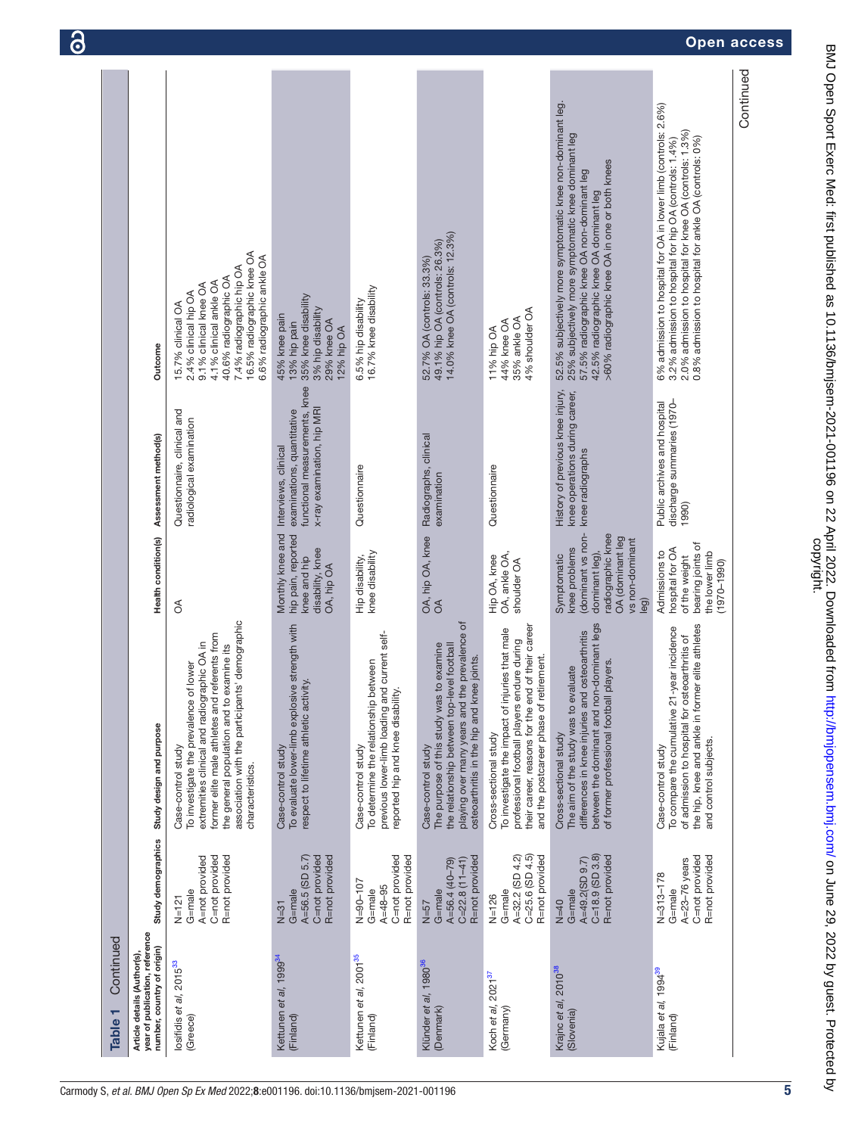| Continued<br>Table <sub>1</sub>                                                             |                                                                                     |                                                                                                                                                                                                                                                                                 |                                                                                                                                        |                                                                                                                   |                                                                                                                                                                                                                                                               |
|---------------------------------------------------------------------------------------------|-------------------------------------------------------------------------------------|---------------------------------------------------------------------------------------------------------------------------------------------------------------------------------------------------------------------------------------------------------------------------------|----------------------------------------------------------------------------------------------------------------------------------------|-------------------------------------------------------------------------------------------------------------------|---------------------------------------------------------------------------------------------------------------------------------------------------------------------------------------------------------------------------------------------------------------|
| year of publication, reference<br>number, country of origin)<br>Article details (Author(s), | Study demographics                                                                  | Study design and purpose                                                                                                                                                                                                                                                        | Health condition(s)                                                                                                                    | Assessment method(s)                                                                                              | Outcome                                                                                                                                                                                                                                                       |
| losifidis et al, 2015 <sup>33</sup><br>(Greece)                                             | C=not provided<br>A=not provided<br>R=not provided<br>G=male<br>$N = 121$           | association with the participants' demographic<br>former elite male athletes and referents from<br>extremities clinical and radiographic OA in<br>the general population and to examine its<br>To investigate the prevalence of lower<br>Case-control study<br>characteristics. | ర్                                                                                                                                     | Questionnaire, clinical and<br>radiological examination                                                           | 16.5% radiographic knee OA<br>6.6% radiographic ankle OA<br>7.4% radiographic hip OA<br>40.6% radiographic OA<br>4.1% clinical ankle OA<br>9.1% clinical knee OA<br>2.4% clinical hip OA<br>15.7% clinical OA                                                 |
| Kettunen et al, 1999 <sup>34</sup><br>(Finland)                                             | R=not provided<br>A=56.5 (SD 5.7)<br>C=not provided<br>G=male<br>$\overline{N}$ =31 | To evaluate lower-limb explosive strength with<br>respect to lifetime athletic activity.<br>Case-control study                                                                                                                                                                  | Monthly knee and<br>hip pain, reported<br>disability, knee<br>knee and hip<br>OA, hip OA                                               | functional measurements, knee<br>x-ray examination, hip MRI<br>examinations, quantitative<br>Interviews, clinical | 35% knee disability<br>3% hip disability<br>45% knee pain<br>29% knee OA<br>13% hip pain<br>12% hip OA                                                                                                                                                        |
| Kettunen et al, 2001 <sup>35</sup><br>(Finland)                                             | C=not provided<br>R=not provided<br>$N = 90 - 107$<br>$A=48-95$<br>G=male           | and current self-<br>To determine the relationship between<br>reported hip and knee disability.<br>previous lower-limb loading<br>Case-control study                                                                                                                            | knee disability<br>Hip disability,                                                                                                     | Questionnaire                                                                                                     | 16.7% knee disability<br>6.5% hip disability                                                                                                                                                                                                                  |
| Klünder et al, 1980 <sup>36</sup><br>(Denmark)                                              | R=not provided<br>$C = 22.8(11 - 41)$<br>$A = 56.4 (40 - 79)$<br>G=male<br>$N = 57$ | playing over many years and the prevalence of<br>The purpose of this study was to examine<br>the relationship between top-level football<br>osteoarthritis in the hip and knee joints.<br>Case-control study                                                                    | OA, hip OA, knee<br>$\delta$                                                                                                           | Radiographs, clinical<br>examination                                                                              | 14.0% knee OA (controls: 12.3%)<br>49.1% hip OA (controls: 26.3%)<br>52.7% OA (controls: 33.3%)                                                                                                                                                               |
| Koch et al, 2021 <sup>37</sup><br>(Germany)                                                 | A=32.2 (SD 4.2)<br>$C = 25.6$ (SD 4.5)<br>R=not provided<br>G=male<br>$N = 126$     | their career, reasons for the end of their career<br>injuries that male<br>professional football players endure during<br>and the postcareer phase of retirement.<br>To investigate the impact of<br>Cross-sectional study                                                      | OA, ankle OA,<br>Hip OA, knee<br>shoulder OA                                                                                           | Questionnaire                                                                                                     | 4% shoulder OA<br>35% ankle OA<br>44% knee OA<br>11% hip OA                                                                                                                                                                                                   |
| Krajnc et al, 2010 <sup>38</sup><br>(Slovenia)                                              | $C = 18.9$ (SD 3.8)<br>R=not provided<br>A=49.2(SD 9.7)<br>G=male<br>$N=40$         | between the dominant and non-dominant legs<br>differences in knee injuries and osteoarthritis<br>of former professional football players.<br>evaluate<br>The aim of the study was to<br>Cross-sectional study                                                                   | dominant vs non-<br>radiographic knee<br>OA (dominant leg<br>vs non-dominant<br>knee problems<br>dominant leg),<br>Symptomatic<br>leg) | History of previous knee injury,<br>knee operations during career,<br>knee radiographs                            | 52.5% subjectively more symptomatic knee non-dominant leg.<br>25% subjectively more symptomatic knee dominant leg<br>>60% radiographic knee OA in one or both knees<br>57.5% radiographic knee OA non-dominant leg<br>42.5% radiographic knee OA dominant leg |
| Kujala et <i>al,</i> 1994 <sup>39</sup><br>(Finland)                                        | C=not provided<br>R=not provided<br>A=23-76 years<br>$N = 313 - 178$<br>G=male      | the hip, knee and ankle in former elite athletes<br>To compare the cumulative 21-year incidence<br>of admission to hospital for osteoarthritis of<br>and control subjects.<br>Case-control study                                                                                | bearing joints of<br>hospital for OA<br>the lower limb<br>Admissions to<br>of the weight<br>$(1970 - 1990)$                            | discharge summaries (1970-<br>Public archives and hospital<br>1990)                                               | 6% admission to hospital for OA in lower limb (controls: 2.6%)<br>2.0% admission to hospital for knee OA (controls: 1.3%)<br>0.8% admission to hospital for ankle OA (controls: 0%)<br>3.2% admission to hospital for hip OA (controls: 1.4%)                 |
|                                                                                             |                                                                                     |                                                                                                                                                                                                                                                                                 |                                                                                                                                        |                                                                                                                   | Continued                                                                                                                                                                                                                                                     |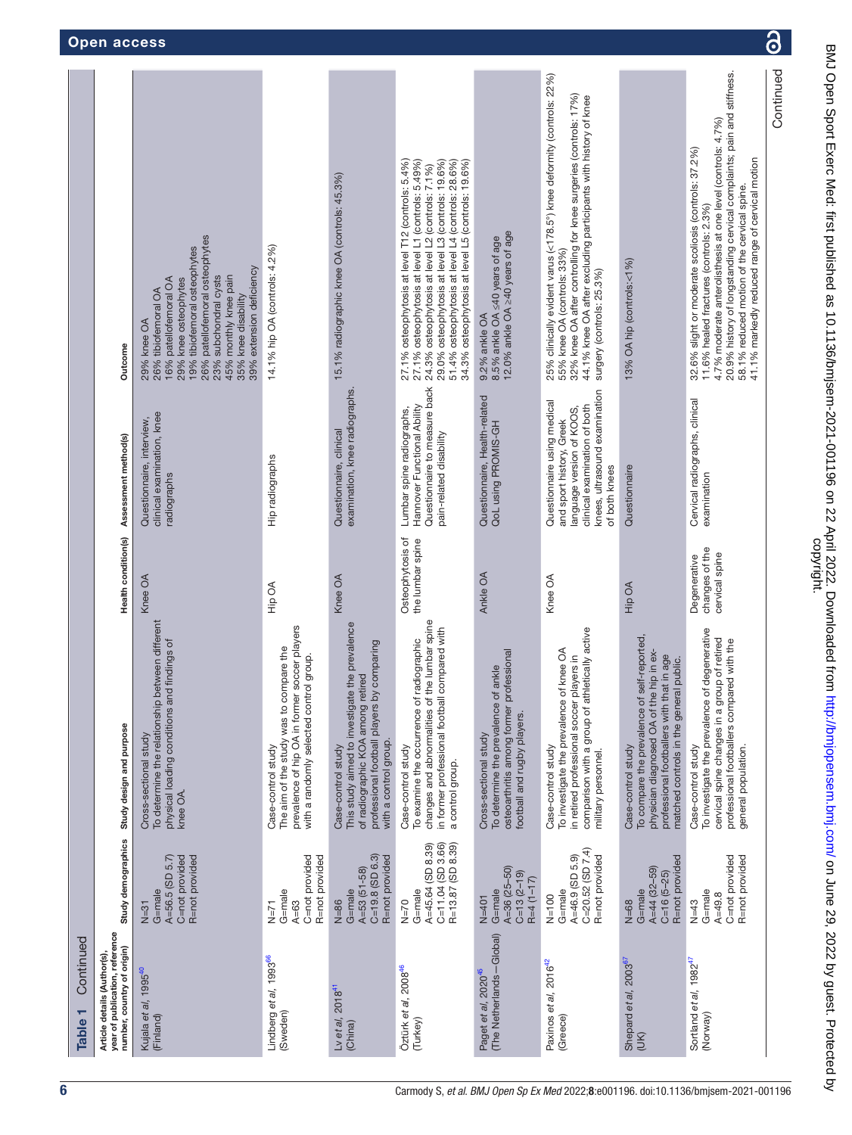| Continued<br>Table <sub>1</sub>                                                             |                                                                                       |                                                                                                                                                                                                       |                                                  |                                                                                                                                                                        |                                                                                                                                                                                                                                                                                                                                            |
|---------------------------------------------------------------------------------------------|---------------------------------------------------------------------------------------|-------------------------------------------------------------------------------------------------------------------------------------------------------------------------------------------------------|--------------------------------------------------|------------------------------------------------------------------------------------------------------------------------------------------------------------------------|--------------------------------------------------------------------------------------------------------------------------------------------------------------------------------------------------------------------------------------------------------------------------------------------------------------------------------------------|
| year of publication, reference<br>number, country of origin)<br>Article details (Author(s), | Study demographics                                                                    | Study design and purpose                                                                                                                                                                              | Health condition(s)                              | Assessment method(s)                                                                                                                                                   | Outcome                                                                                                                                                                                                                                                                                                                                    |
| Kujala et al, 1995 <sup>40</sup><br>(Finland)                                               | A=56.5 (SD 5.7)<br>C=not provided<br>R=not provided<br>$N=31$<br>G=male               | between different<br>physical loading conditions and findings of<br>To determine the relationship<br>Cross-sectional study<br>knee OA.                                                                | Knee OA                                          | clinical examination, knee<br>Questionnaire, interview,<br>radiographs                                                                                                 | 26% patellofemoral osteophytes<br>19% tibiofemoral osteophytes<br>39% extension deficiency<br>23% subchondral cysts<br>45% monthly knee pain<br>29% knee osteophytes<br>16% patellofemoral OA<br>26% tibiofemoral OA<br>35% knee disability<br>29% knee OA                                                                                 |
| Lindberg et al, 1993 <sup>66</sup><br>(Sweden)                                              | C=not provided<br>R=not provided<br>G=male<br>$A = 63$<br>$N = 71$                    | prevalence of hip OA in former soccer players<br>The aim of the study was to compare the<br>with a randomly selected control group.<br>Case-control study                                             | Hip OA                                           | Hip radiographs                                                                                                                                                        | 14.1% hip OA (controls: 4.2%)                                                                                                                                                                                                                                                                                                              |
| Lv et al, $2018^{41}$<br>(China)                                                            | $C = 19.8$ (SD 6.3)<br>R=not provided<br>$A=53(51-58)$<br>G=male<br>$N = 86$          | This study aimed to investigate the prevalence<br>by comparing<br>of radiographic KOA among retired<br>professional football players<br>with a control group.<br>Case-control study                   | Knee OA                                          | examination, knee radiographs.<br>Questionnaire, clinical                                                                                                              | 15.1% radiographic knee OA (controls: 45.3%)                                                                                                                                                                                                                                                                                               |
| Öztürk et al, 2008 <sup>46</sup><br>(Turkey)                                                | R=13.87 (SD 8.39)<br>A=45.64 (SD 8.39)<br>$C = 11.04$ (SD 3.66)<br>G=male<br>$N = 70$ | changes and abnormalities of the lumbar spine<br>in former professional football compared with<br>To examine the occurrence of radiographic<br>Case-control study<br>a control group.                 | Osteophytosis of<br>the lumbar spine             | Questionnaire to measure back<br>Hannover Functional Ability<br>Lumbar spine radiographs,<br>pain-related disability                                                   | 29.0% osteophytosis at level L3 (controls: 19.6%)<br>27.1% osteophytosis at level L1 (controls: 5.49%)<br>27.1% osteophytosis at level T12 (controls: 5.4%)<br>51.4% osteophytosis at level L4 (controls: 28.6%)<br>34.3% osteophytosis at level L5 (controls: 19.6%)<br>24.3% osteophytosis at level L2 (controls: 7.1%)                  |
| (The Netherlands-Global)<br>Paget et al, 2020 <sup>45</sup>                                 | $A = 36(25 - 50)$<br>$C=13(2-19)$<br>$R=4(1-17)$<br>G=male<br>$N=401$                 | professional<br>of ankle<br>To determine the prevalence<br>osteoarthritis among former<br>football and rugby players.<br>Cross-sectional study                                                        | Ankle OA                                         | Questionnaire, Health-related<br>QoL using PROMIS-GH                                                                                                                   | 12.0% ankle OA ≥40 years of age<br>8.5% ankle OA ≤40 years of age<br>9.2% ankle OA                                                                                                                                                                                                                                                         |
| Paxinos et al, 2016 <sup>42</sup><br>(Greece)                                               | C=20.52 (SD 7.4)<br>A=46.9 (SD 5.9)<br>R=not provided<br>G=male<br>$N=100$            | thletically active<br>of knee OA<br>players in<br>To investigate the prevalence<br>in retired professional soccer<br>comparison with a group of a<br>Case-control study<br>military personnel.        | Knee OA                                          | knees, ultrasound examination<br>Questionnaire using medical<br>clinical examination of both<br>language version of KOOS,<br>and sport history, Greek<br>of both knees | 25% clinically evident varus (<178.5°) knee deformity (controls: 22%)<br>32% knee OA after controlling for knee surgeries (controls: 17%)<br>44.1% knee OA after excluding participants with history of knee<br>55% knee OA (controls: 33%)<br>surgery (controls: 25.3%)                                                                   |
| Shepard et al, 2003 <sup>67</sup><br>(UN)                                                   | R=not provided<br>$A=44(32-59)$<br>$C = 16(5 - 25)$<br>G=male<br>$N = 68$             | To compare the prevalence of self-reported,<br>physician diagnosed OA of the hip in ex-<br>professional footballers with that in age<br>matched controls in the general public.<br>Case-control study | Hip OA                                           | Questionnaire                                                                                                                                                          | 13% OA hip (controls:<1%)                                                                                                                                                                                                                                                                                                                  |
| Sortland et al, 1982 <sup>47</sup><br>(Norway)                                              | C=not provided<br>R=not provided<br>$G = male$<br>$A = 49.8$<br>$N=43$                | To investigate the prevalence of degenerative<br>cervical spine changes in a group of retired<br>professional footballers compared with the<br>Case-control study<br>general population.              | changes of the<br>cervical spine<br>Degenerative | Cervical radiographs, clinical<br>examination                                                                                                                          | 20.9% history of longstanding cervical complaints; pain and stiffness.<br>4.7% moderate anterolisthesis at one level (controls: 4.7%)<br>32.6% slight or moderate scoliosis (controls: 37.2%)<br>41.1% markedly reduced range of cervical motion<br>58.1% reduced motion of the cervical spine.<br>11.6% healed fractures (controls: 2.3%) |
|                                                                                             |                                                                                       |                                                                                                                                                                                                       |                                                  |                                                                                                                                                                        | Continued                                                                                                                                                                                                                                                                                                                                  |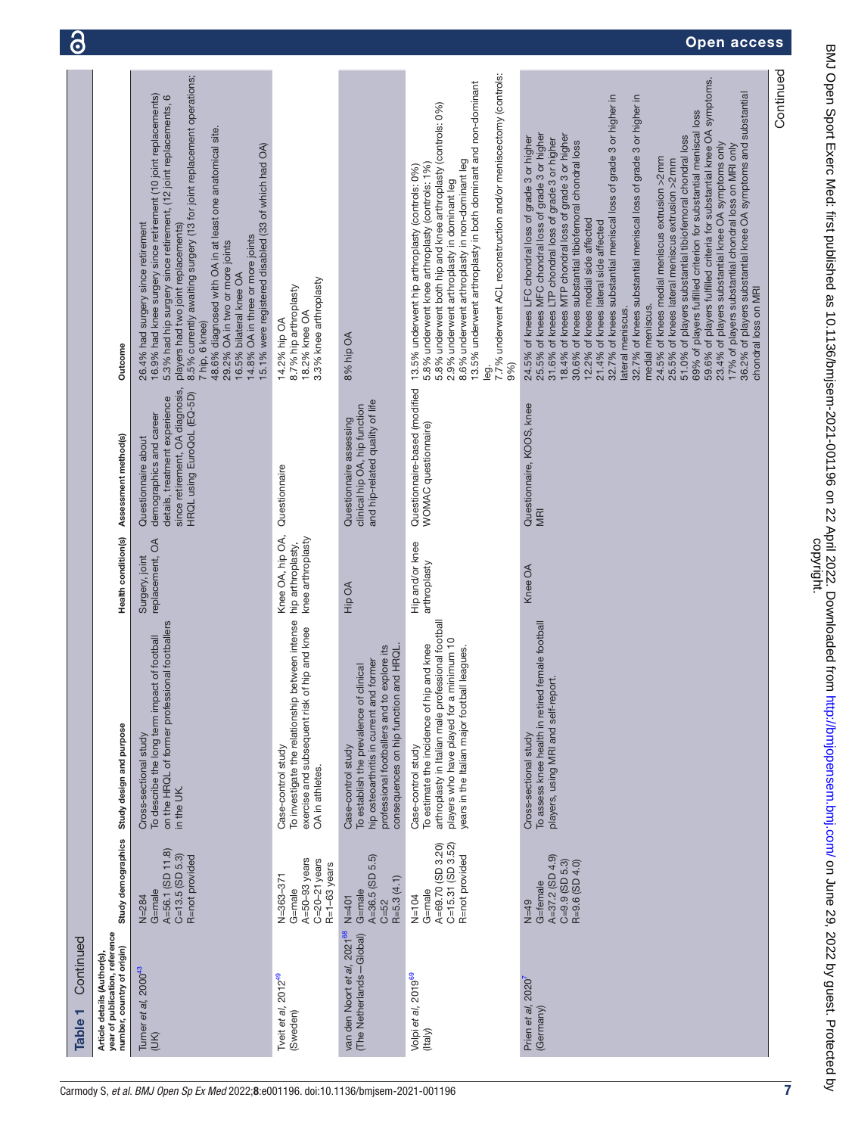| Continued<br>Table <sub>1</sub>                                                             |                                                                                         |                                                                                                                                                                                                                   |                                                            |                                                                                                                                                  |                                                                                                                                                                                                                                                                                                                                                                                                                                                                                                                                                                                                                                                                                                                                                                                                                                                                                                                                                                                                                                                                               |
|---------------------------------------------------------------------------------------------|-----------------------------------------------------------------------------------------|-------------------------------------------------------------------------------------------------------------------------------------------------------------------------------------------------------------------|------------------------------------------------------------|--------------------------------------------------------------------------------------------------------------------------------------------------|-------------------------------------------------------------------------------------------------------------------------------------------------------------------------------------------------------------------------------------------------------------------------------------------------------------------------------------------------------------------------------------------------------------------------------------------------------------------------------------------------------------------------------------------------------------------------------------------------------------------------------------------------------------------------------------------------------------------------------------------------------------------------------------------------------------------------------------------------------------------------------------------------------------------------------------------------------------------------------------------------------------------------------------------------------------------------------|
| year of publication, reference<br>number, country of origin)<br>Article details (Author(s), | Study demographics                                                                      | Study design and purpose                                                                                                                                                                                          | Health condition(s)                                        | Assessment method(s)                                                                                                                             | Outcome                                                                                                                                                                                                                                                                                                                                                                                                                                                                                                                                                                                                                                                                                                                                                                                                                                                                                                                                                                                                                                                                       |
| Turner et al, 2000 <sup>43</sup><br>(X)                                                     | A=56.1 (SD 11.8)<br>$C = 13.5$ (SD 5.3)<br>R=not provided<br>G=male<br>$N = 284$        | on the HRQL of former professional footballers<br>To describe the long term impact of football<br>Cross-sectional study<br>in the UK.                                                                             | replacement, OA<br>Surgery, joint                          | since retirement, OA diagnosis,<br>HRQL using EuroQoL (EQ-5D)<br>details, treatment experience<br>demographics and career<br>Questionnaire about | 8.5% currently awaiting surgery (13 for joint replacement operations;<br>16.9% had knee surgery since retirement (10 joint replacements)<br>5.3% had hip surgery since retirement, (12 joint replacements, 6<br>48.6% diagnosed with OA in at least one anatomical site.<br>15.1% were registered disabled (33 of which had OA)<br>26.4% had surgery since retirement<br>players had two joint replacements)<br>14.8% OA in three or more joints<br>29.2% OA in two or more joints<br>16.5% bilateral knee OA<br>7 hip, 6 knee)                                                                                                                                                                                                                                                                                                                                                                                                                                                                                                                                               |
| Tveit et al, 2012 <sup>49</sup><br>(Sweden)                                                 | A=50-93 years<br>$C = 20 - 21$ years<br>$R = 1 - 63$ years<br>$N = 363 - 371$<br>G=male | To investigate the relationship between intense<br>exercise and subsequent risk of hip and knee<br>Case-control study<br>OA in athletes.                                                                          | Knee OA, hip OA,<br>knee arthroplasty<br>hip arthroplasty, | Questionnaire                                                                                                                                    | 3.3% knee arthroplasty<br>8.7% hip arthroplasty<br>18.2% knee OA<br>14.2% hip OA                                                                                                                                                                                                                                                                                                                                                                                                                                                                                                                                                                                                                                                                                                                                                                                                                                                                                                                                                                                              |
| van den Noort et al, 2021 <sup>68</sup><br>(The Netherlands-Global)                         | A=36.5 (SD 5.5)<br>$R = 5.3(4.1)$<br>G=male<br>$N=401$<br>$C = 52$                      | consequences on hip function and HRQL.<br>to explore its<br>hip osteoarthritis in current and former<br>To establish the prevalence of clinical<br>professional footballers and<br>Case-control study             | Hip OA                                                     | and hip-related quality of life<br>clinical hip OA, hip function<br>Questionnaire assessing                                                      | 8% hip OA                                                                                                                                                                                                                                                                                                                                                                                                                                                                                                                                                                                                                                                                                                                                                                                                                                                                                                                                                                                                                                                                     |
| Volpi et al, 2019 <sup>69</sup><br>$($ taly $)$                                             | $C=15.31$ (SD 3.52)<br>A=69.70 (SD 3.20)<br>R=not provided<br>G=male<br>$N = 104$       | arthroplasty in Italian male professional football<br>players who have played for a minimum 10<br>To estimate the incidence of hip and knee<br>years in the Italian major football leagues.<br>Case-control study | Hip and/or knee<br>arthroplasty                            | Questionnaire-based (modified<br>WOMAC questionnaire)                                                                                            | leg.<br>7.7% underwent ACL reconstruction and/or meniscectomy (controls:<br>13.5% underwent arthroplasty in both dominant and non-dominant<br>5.8% underwent both hip and knee arthroplasty (controls: 0%)<br>8.6% underwent arthroplasty in non-dominant leg<br>5.8% underwent knee arthroplasty (controls: 1%)<br>13.5% underwent hip arthroplasty (controls: 0%)<br>2.9% underwent arthroplasty in dominant leg<br>9%)                                                                                                                                                                                                                                                                                                                                                                                                                                                                                                                                                                                                                                                     |
| Prien et al, 2020<br>(Germany)                                                              | A=37.2 (SD 4.9)<br>$C=9.9$ (SD 5.3)<br>R=9.6 (SD 4.0)<br>G=female<br>$N=49$             | To assess knee health in retired female football<br>players, using MRI and self-report.<br>Cross-sectional study                                                                                                  | Knee OA                                                    | Questionnaire, KOOS, knee<br><b>MRI</b>                                                                                                          | 59.6% of players fulfilled criteria for substantial knee OA symptoms.<br>36.2% of players substantial knee OA symptoms and substantial<br>32.7% of knees substantial meniscal loss of grade 3 or higher in<br>32.7% of knees substantial meniscal loss of grade 3 or higher in<br>69% of players fulfilled criterion for substantial meniscal loss<br>25.5% of knees MFC chondral loss of grade 3 or higher<br>18.4% of knees MTP chondral loss of grade 3 or higher<br>51.0% of players substantial tibiofemoral chondral loss<br>24.5% of knees LFC chondral loss of grade 3 or higher<br>31.6% of knees LTP chondral loss of grade 3 or higher<br>30.6% of knees substantial tibiofemoral chondral loss<br>23.4% of players substantial knee OA symptoms only<br>17% of players substantial chondral loss on MRI only<br>24.5% of knees medial meniscus extrusion >2 mm<br>25.5% of knees lateral meniscus extrusion >2 mm<br>12.2% of knees medial side affected<br>21.4% of knees lateral side affected<br>chondral loss on MRI<br>medial meniscus.<br>lateral meniscus. |
|                                                                                             |                                                                                         |                                                                                                                                                                                                                   |                                                            |                                                                                                                                                  | Continued                                                                                                                                                                                                                                                                                                                                                                                                                                                                                                                                                                                                                                                                                                                                                                                                                                                                                                                                                                                                                                                                     |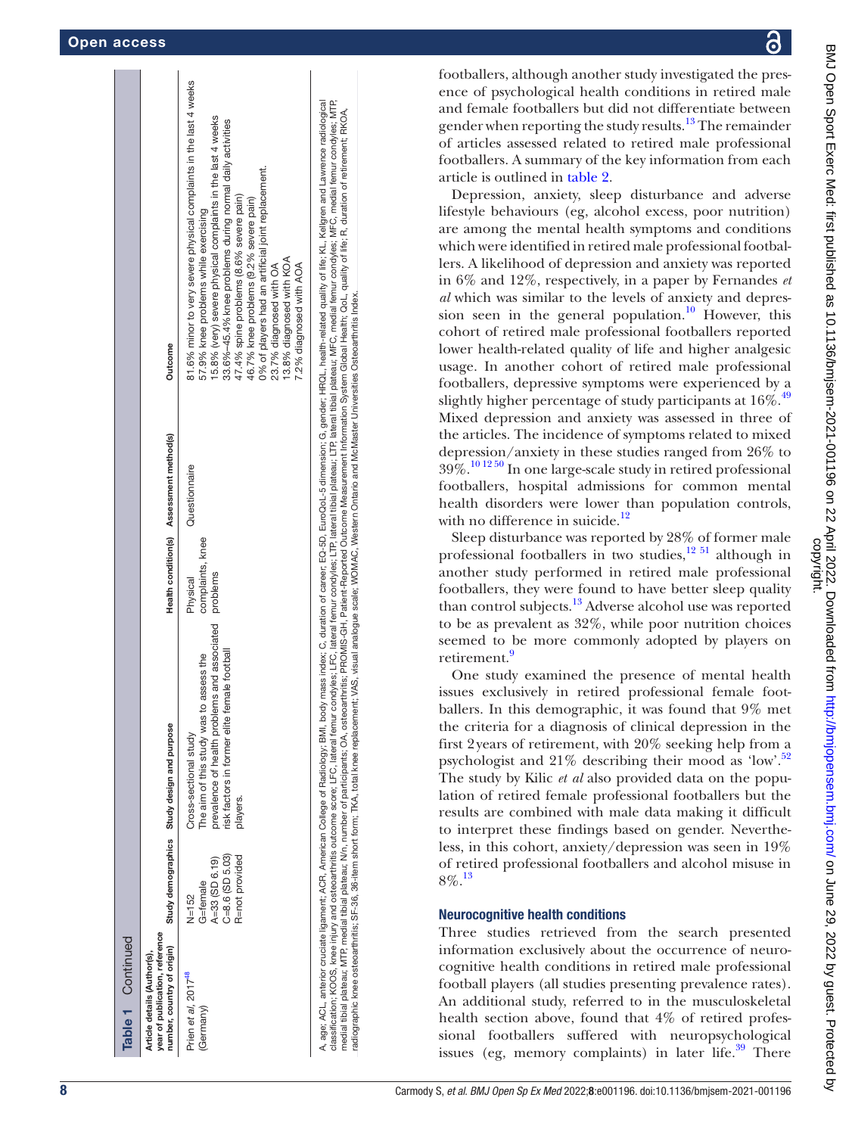| Outcome                                                                                     | 81.6% minor to very severe physical complaints in the last 4 weeks<br>15.8% (very) severe physical complaints in the last 4 weeks<br>33.6%-45.4% knee problems during normal daily activities<br>0% of players had an artificial joint replacement.<br>47.4% spine problems (8.6% severe pain)<br>46.7% knee problems (9.2% severe pain)<br>57.9% knee problems while exercising<br>13.8% diagnosed with KOA<br>7.2% diagnosed with AOA<br>23.7% diagnosed with OA | classification; KOOS, knee injury and ostecal tritits outcome score; LFC, lateral femur condyles; LFC, iateral thial plateau; LTP, lateral that althal plateau; MHC, medial femur condyles; MHP, medial femur condyles; MHP,<br>A, age; ACL, anterior cruciate ligament; ACR, American College of Radiology; BMI, body mass index; C, Quration of career; EQ-5D, EuroQoL-5 dimension; G, gender; HRQL, HRalth-related quality of life; KL, Kellgren and Lawren |
|---------------------------------------------------------------------------------------------|--------------------------------------------------------------------------------------------------------------------------------------------------------------------------------------------------------------------------------------------------------------------------------------------------------------------------------------------------------------------------------------------------------------------------------------------------------------------|----------------------------------------------------------------------------------------------------------------------------------------------------------------------------------------------------------------------------------------------------------------------------------------------------------------------------------------------------------------------------------------------------------------------------------------------------------------|
| Health condition(s) Assessment method(s)                                                    | Questionnaire                                                                                                                                                                                                                                                                                                                                                                                                                                                      |                                                                                                                                                                                                                                                                                                                                                                                                                                                                |
|                                                                                             | complaints, knee<br>Physical                                                                                                                                                                                                                                                                                                                                                                                                                                       |                                                                                                                                                                                                                                                                                                                                                                                                                                                                |
| Study demographics Study design and purpose                                                 | prevalence of health problems and associated problems<br>female football<br>to assess the<br>The aim of this study was<br>risk factors in former elite<br>Cross-sectional study<br>players.                                                                                                                                                                                                                                                                        |                                                                                                                                                                                                                                                                                                                                                                                                                                                                |
|                                                                                             | $C = 8.6$ (SD 5.03)<br>R=not provided<br>A=33 (SD 6.19)<br>G=female<br>$N = 152$                                                                                                                                                                                                                                                                                                                                                                                   |                                                                                                                                                                                                                                                                                                                                                                                                                                                                |
| year of publication, reference<br>number, country of origin)<br>Article details (Author(s), | Prien et al, 2017 <sup>48</sup><br>(Germany)                                                                                                                                                                                                                                                                                                                                                                                                                       |                                                                                                                                                                                                                                                                                                                                                                                                                                                                |

medial plateau; MTP; medial tibial plateau; IV/n, number of particlearly. OA, ostecarthritis; OA, ostecarthritis; Patient-Reported Outcome Measurement Information System Global Health; QoL, quality of life; R, duration of quality of life; R, duration of retirement; RKOA, PROMIS-GH, Patient-Reported Outcome Measurement Information System Global Health; QoL,<br>visual analogue scale; WOMAC, Westem Ontario and McMaster Universities Osteoarthritis Index. radiographic knee osteoarthritis; SF-36, 36-item short form; TKA, total knee replacement; VAS, visual analogue scale; WOMAC, Western Ontario and McMaster Universities Osteoarthritis Index. medial tibial plateau; MTP, medial tibial plateau; N/n, number of participants; OA, osteoarthritis;<br>radiographic knee osteoarthritis; SF-36, 36-item short form; TKA, total knee replacement; VAS, BMJ Open Sport Exerc Med: first published as 10.1136/bmjsem-2021-001196 on 22 April 2022. Downloaded from http://bmjopensem.bmj.com/ on June 29, 2022 by guest. Protected by<br>GPMJ Open Sport Exerc Med: first published as 10. BMJ Open Sport Exerc Med: first published as 10.1136/bmjsem-2021-001196 on 22 April 2022. Downloaded from http://bmj.com/ on June 29, 2022. by guest. Protected by

footballers, although another study investigated the presence of psychological health conditions in retired male and female footballers but did not differentiate between gender when reporting the study results.<sup>13</sup> The remainder of articles assessed related to retired male professional footballers. A summary of the key information from each article is outlined in [table](#page-8-0) 2.

Depression, anxiety, sleep disturbance and adverse lifestyle behaviours (eg, alcohol excess, poor nutrition) are among the mental health symptoms and conditions which were identified in retired male professional footballers. A likelihood of depression and anxiety was reported in 6% and 12%, respectively, in a paper by Fernandes *et al* which was similar to the levels of anxiety and depression seen in the general population.<sup>10</sup> However, this cohort of retired male professional footballers reported lower health-related quality of life and higher analgesic usage. In another cohort of retired male professional footballers, depressive symptoms were experienced by a slightly higher percentage of study participants at  $16\%$ .<sup>[49](#page-14-29)</sup> Mixed depression and anxiety was assessed in three of the articles. The incidence of symptoms related to mixed depression/anxiety in these studies ranged from 26% to  $39\%.$ <sup>10 12 50</sup> In one large-scale study in retired professional footballers, hospital admissions for common mental health disorders were lower than population controls, with no difference in suicide.<sup>[12](#page-14-32)</sup>

Sleep disturbance was reported by 28% of former male professional footballers in two studies, $12\frac{51}{12}$  although in another study performed in retired male professional footballers, they were found to have better sleep quality than control subjects.<sup>13</sup> Adverse alcohol use was reported to be as prevalent as 32%, while poor nutrition choices seemed to be more commonly adopted by players on retirement.<sup>[9](#page-13-3)</sup>

One study examined the presence of mental health issues exclusively in retired professional female footballers. In this demographic, it was found that 9% met the criteria for a diagnosis of clinical depression in the first 2years of retirement, with 20% seeking help from a psychologist and  $21\%$  describing their mood as 'low'.<sup>[52](#page-14-33)</sup> The study by Kilic *et al* also provided data on the population of retired female professional footballers but the results are combined with male data making it difficult to interpret these findings based on gender. Nevertheless, in this cohort, anxiety/depression was seen in 19% of retired professional footballers and alcohol misuse in 8%.[13](#page-14-30)

### Neurocognitive health conditions

Three studies retrieved from the search presented information exclusively about the occurrence of neurocognitive health conditions in retired male professional football players (all studies presenting prevalence rates). An additional study, referred to in the musculoskeletal health section above, found that 4% of retired professional footballers suffered with neuropsychological issues (eg, memory complaints) in later life. $39$  There

Table 1 Continued

Continued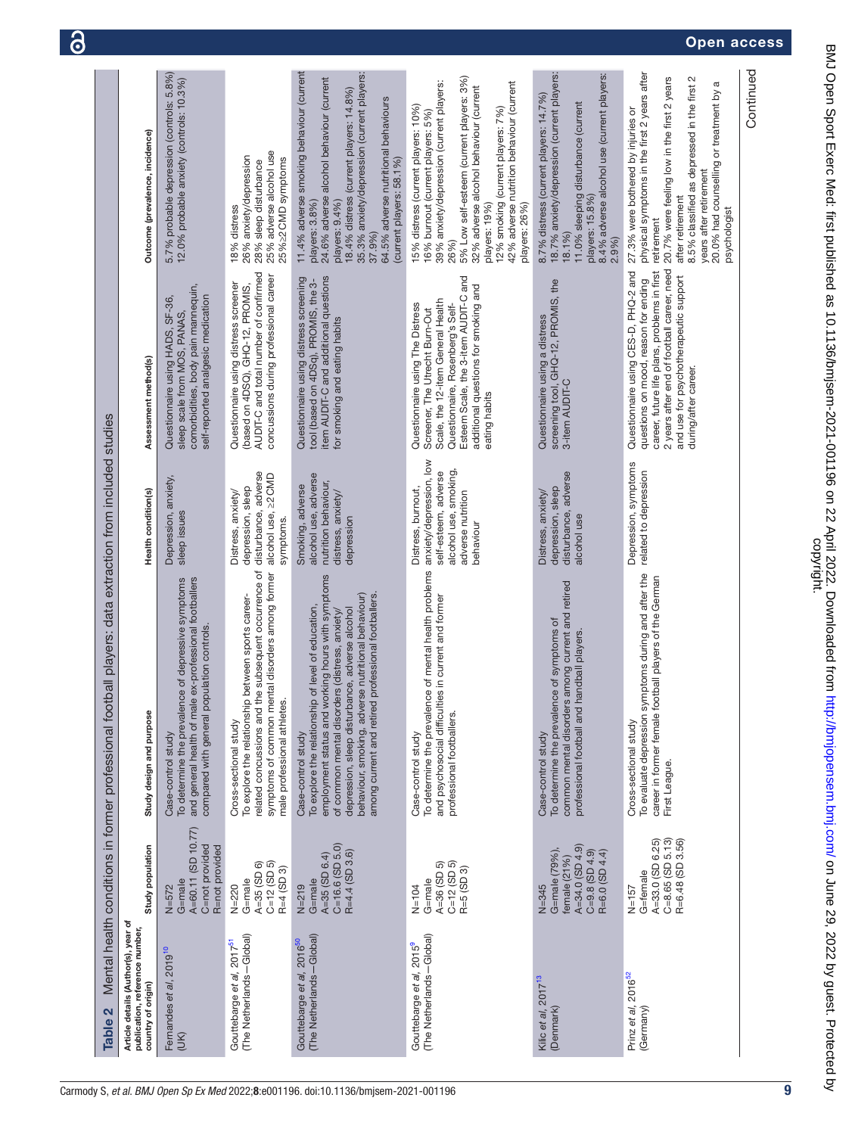<span id="page-8-0"></span>

| Table 2                                                                                     |                                                                                                      | Mental health conditions in former professional football players: data extraction from included studies                                                                                                                                                                                                                                        |                                                                                                                                  |                                                                                                                                                                                                                                              |                                                                                                                                                                                                                                                                                                                                       |
|---------------------------------------------------------------------------------------------|------------------------------------------------------------------------------------------------------|------------------------------------------------------------------------------------------------------------------------------------------------------------------------------------------------------------------------------------------------------------------------------------------------------------------------------------------------|----------------------------------------------------------------------------------------------------------------------------------|----------------------------------------------------------------------------------------------------------------------------------------------------------------------------------------------------------------------------------------------|---------------------------------------------------------------------------------------------------------------------------------------------------------------------------------------------------------------------------------------------------------------------------------------------------------------------------------------|
| Article details (Author(s), year of<br>publication, reference number,<br>country of origin) | Study population                                                                                     | Study design and purpose                                                                                                                                                                                                                                                                                                                       | Health condition(s)                                                                                                              | Assessment method(s)                                                                                                                                                                                                                         | Outcome (prevalence, incidence)                                                                                                                                                                                                                                                                                                       |
| Fernandes et al, 2019 <sup>10</sup><br>(UN)                                                 | A=60.11 (SD 10.77)<br>C=not provided<br>R=not provided<br>G=male<br>$N = 572$                        | and general health of male ex-professional footballers<br>To determine the prevalence of depressive symptoms<br>compared with general population controls.<br>Case-control study                                                                                                                                                               | Depression, anxiety,<br>sleep issues                                                                                             | comorbidities, body pain mannequin,<br>self-reported analgesic medication<br>Questionnaire using HADS, SF-36,<br>sleep scale from MOS, PANAS,                                                                                                | 5.7% probable depression (controls: 5.8%)<br>12.0% probable anxiety (controls: 10.3%)                                                                                                                                                                                                                                                 |
| (The Netherlands-Global)<br>Gouttebarge et al, 2017 <sup>51</sup>                           | $A=35$ (SD 6)<br>$C=12$ (SD 5)<br>R=4 (SD 3)<br>G=male<br>$N = 220$                                  | related concussions and the subsequent occurrence of<br>symptoms of common mental disorders among former<br>To explore the relationship between sports career-<br>male professional athletes.<br>Cross-sectional study                                                                                                                         | disturbance, adverse<br>alcohol use, 22 CMD<br>depression, sleep<br>Distress, anxiety/<br>symptoms.                              | AUDIT-C and total number of confirmed<br>concussions during professional career<br>Questionnaire using distress screener<br>(based on 4DSQ), GHQ-12, PROMIS,                                                                                 | 25% adverse alcohol use<br>26% anxiety/depression<br>25% ≥2 CMD symptoms<br>28% sleep disturbance<br>18% distress                                                                                                                                                                                                                     |
| (The Netherlands-Global)<br>Gouttebarge et al, 2016 <sup>50</sup>                           | $C = 16.6$ (SD 5.0)<br>R=4.4 (SD 3.6)<br>A=35 (SD 6.4)<br>G=male<br>$N = 219$                        | employment status and working hours with symptoms<br>among current and retired professional footballers.<br>behaviour, smoking, adverse nutritional behaviour)<br>To explore the relationship of level of education,<br>depression, sleep disturbance, adverse alcohol<br>of common mental disorders (distress, anxiety/<br>Case-control study | alcohol use, adverse<br>nutrition behaviour,<br>Smoking, adverse<br>distress, anxiety/<br>depression                             | item AUDIT-C and additional questions<br>Questionnaire using distress screening<br>tool (based on 4DSq), PROMIS, the 3-<br>for smoking and eating habits                                                                                     | 11.4% adverse smoking behaviour (current<br>35.3% anxiety/depression (current players:<br>24.6% adverse alcohol behaviour (current<br>18.4% distress (current players: 14.8%)<br>64.5% adverse nutritional behaviours<br>(current players: 58.1%)<br>players: 9.4%)<br>players: 3.8%)<br>37.9%)                                       |
| (The Netherlands-Global)<br>Gouttebarge et al, 2015 <sup>9</sup>                            | $C=12$ (SD 5)<br>$A=36$ (SD 5)<br>R=5 (SD 3)<br>G=male<br>N=104                                      | To determine the prevalence of mental health problems<br>and psychosocial difficulties in current and former<br>professional footballers.<br>Case-control study                                                                                                                                                                                | anxiety/depression, low<br>alcohol use, smoking,<br>self-esteem, adverse<br>Distress, burnout,<br>adverse nutrition<br>behaviour | Esteem Scale, the 3-item AUDIT-C and<br>additional questions for smoking and<br>Scale, the 12-item General Health<br>Questionnaire using The Distress<br>Questionnaire, Rosenberg's Self-<br>Screener, The Utrecht Burn-Out<br>eating habits | 5% Low self-esteem (current players: 3%)<br>39% anxiety/depression (current players:<br>42% adverse nutrition behaviour (current<br>32% adverse alcohol behaviour (current<br>15% distress (current players: 10%)<br>12% smoking (current players: 7%)<br>16% burnout (current players: 5%)<br>players: 26%)<br>players: 19%)<br>26%) |
| Kilic et al, 2017 <sup>13</sup><br>(Denmark)                                                | A=34.0 (SD 4.9)<br>$C = 9.8$ (SD 4.9)<br>R=6.0 (SD 4.4)<br>G=male (79%)<br>female (21%)<br>$N = 345$ | common mental disorders among current and retired<br>To determine the prevalence of symptoms of<br>handball players.<br>professional football and<br>Case-control study                                                                                                                                                                        | disturbance, adverse<br>depression, sleep<br>Distress, anxiety/<br>alcohol use                                                   | screening tool, GHQ-12, PROMIS, the<br>Questionnaire using a distress<br>3-item AUDIT-C                                                                                                                                                      | 18.7% anxiety/depression (current players:<br>8.4% adverse alcohol use (current players:<br>8.7% distress (current players: 14.7%)<br>11.0% sleeping disturbance (current<br>players: 15.8%)<br>18.1%)<br>2.9%                                                                                                                        |
| Prinz et al, 2016 <sup>52</sup><br>(Germany)                                                | A=33.0 (SD 6.25)<br>C=8.65 (SD 5.13)<br>R=6.48 (SD 3.56)<br>G=female<br>$N=157$                      | To evaluate depression symptoms during and after the<br>career in former female football players of the German<br>Cross-sectional study<br>First League.                                                                                                                                                                                       | Depression, symptoms<br>related to depression                                                                                    | 2 years after end of football career, need<br>career, future life plans, problems in first<br>Questionnaire using CES-D, PHQ-2 and<br>and use for psychotherapeutic support<br>questions on mood, reason for ending<br>during/after career.  | physical symptoms in the first 2 years after<br>20.7% were feeling low in the first 2 years<br>8.5% classified as depressed in the first 2<br>ω<br>20.0% had counselling or treatment by<br>27.3% were bothered by injuries or<br>years after retirement<br>after retirement<br>psychologist<br>retirement                            |
|                                                                                             |                                                                                                      |                                                                                                                                                                                                                                                                                                                                                |                                                                                                                                  |                                                                                                                                                                                                                                              | Continued                                                                                                                                                                                                                                                                                                                             |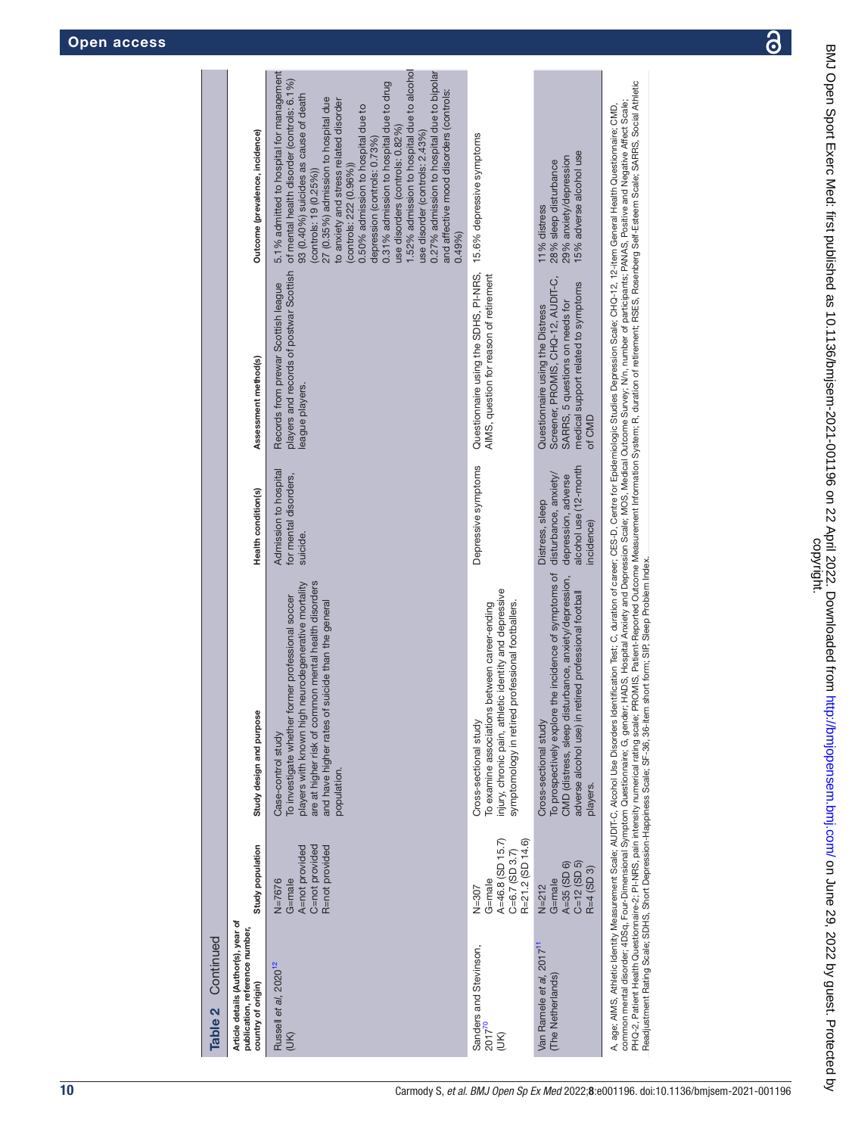| Continued<br>Table 2                                                                        |                                                                                   |                                                                                                                                                                                                                                                                                                                                                                                                                                                                                                                                                                                                                                                                                                                                                                                                                               |                                                                                                        |                                                                                                                                                            |                                                                                                                                                                                                                                                                                                                                                                                                                                                                                                                                                                                                                        |
|---------------------------------------------------------------------------------------------|-----------------------------------------------------------------------------------|-------------------------------------------------------------------------------------------------------------------------------------------------------------------------------------------------------------------------------------------------------------------------------------------------------------------------------------------------------------------------------------------------------------------------------------------------------------------------------------------------------------------------------------------------------------------------------------------------------------------------------------------------------------------------------------------------------------------------------------------------------------------------------------------------------------------------------|--------------------------------------------------------------------------------------------------------|------------------------------------------------------------------------------------------------------------------------------------------------------------|------------------------------------------------------------------------------------------------------------------------------------------------------------------------------------------------------------------------------------------------------------------------------------------------------------------------------------------------------------------------------------------------------------------------------------------------------------------------------------------------------------------------------------------------------------------------------------------------------------------------|
| Article details (Author(s), year of<br>publication, reference number,<br>country of origin) | Study population                                                                  | Study design and purpose                                                                                                                                                                                                                                                                                                                                                                                                                                                                                                                                                                                                                                                                                                                                                                                                      | Health condition(s)                                                                                    | Assessment method(s)                                                                                                                                       | Outcome (prevalence, incidence)                                                                                                                                                                                                                                                                                                                                                                                                                                                                                                                                                                                        |
| Russell et al, 2020 <sup>12</sup><br>$\widetilde{\mathbb{R}}$                               | C=not provided<br>R=not provided<br>A=not provided<br>G=male<br>$N = 7676$        | are at higher risk of common mental health disorders<br>players with known high neurodegenerative mortality<br>To investigate whether former professional soccer<br>and have higher rates of suicide than the general<br>Case-control study<br>population.                                                                                                                                                                                                                                                                                                                                                                                                                                                                                                                                                                    | Admission to hospital<br>for mental disorders,<br>suicide.                                             | players and records of postwar Scottish<br>Records from prewar Scottish league<br>eague players.                                                           | 1.52% admission to hospital due to alcohol<br>5.1% admitted to hospital for management<br>0.27% admission to hospital due to bipolar<br>0.31% admission to hospital due to drug<br>of mental health disorder (controls: 6.1%)<br>and affective mood disorders (controls:<br>93 (0.40%) suicides as cause of death<br>27 (0.35%) admission to hospital due<br>to anxiety and stress related disorder<br>0.50% admission to hospital due to<br>use disorders (controls: 0.82%)<br>use disorder (controls: 2.43%)<br>depression (controls: 0.73%)<br>$($ controls: 222 $(0.96\%)$<br>$($ controls: 19 $(0.25\%)$<br>0.49% |
| Sanders and Stevinson,<br>$2017^{70}$<br>S)                                                 | A=46.8 (SD 15.7)<br>R=21.2 (SD 14.6)<br>$C = 6.7$ (SD 3.7)<br>G=male<br>$N = 307$ | injury, chronic pain, athletic identity and depressive<br>symptomology in retired professional footballers.<br>To examine associations between career-ending<br>Cross-sectional study                                                                                                                                                                                                                                                                                                                                                                                                                                                                                                                                                                                                                                         | Depressive symptoms                                                                                    | Questionnaire using the SDHS, PI-NRS,<br>AIMS, question for reason of retirement                                                                           | 15.6% depressive symptoms                                                                                                                                                                                                                                                                                                                                                                                                                                                                                                                                                                                              |
| Van Ramele et al, 2017 <sup>11</sup><br>(The Netherlands)                                   | $A = 35$ (SD 6)<br>$C=12$ (SD 5)<br>R=4 (SD 3)<br>G=male<br>$N = 212$             | To prospectively explore the incidence of symptoms of<br>CMD (distress, sleep disturbance, anxiety/depression,<br>adverse alcohol use) in retired professional football<br>Cross-sectional study<br>players.                                                                                                                                                                                                                                                                                                                                                                                                                                                                                                                                                                                                                  | alcohol use (12-month<br>disturbance, anxiety/<br>depression, adverse<br>Distress, sleep<br>incidence) | Screener, PROMIS, CHQ-12, AUDIT-C,<br>medical support related to symptoms<br>SARRS, 5 questions on needs for<br>Questionnaire using the Distress<br>of CMD | 15% adverse alcohol use<br>29% anxiety/depression<br>28% sleep disturbance<br>11% distress                                                                                                                                                                                                                                                                                                                                                                                                                                                                                                                             |
|                                                                                             |                                                                                   | PHQ-2, Patient Health Questionnaire-2; PI-NRS, pain intensity numerical rating scale; PROMIS, Patient-Reported Outcome Measurement Information System; R, duration of retirement; RSES, Rosenberg Self-Esteem Scale; SARRS, So<br>common mental disorder; 4DSq, Four-Dimensional Symptom Questionnaire; G, gender; HADS, Hospital Anxiety and Depression Scale; MOS, Medical Outcome Survey; Wn, number of participants; PANAS, Positive and Negative Affect Sca<br>A, age; AIMS, Athletic Identity Measurement Scale; AUDIT-C, Alcohol Use Disorders Identification Test; C, duration of career; CES-D, Centre for Epidemiologic Studies Depression Scale; CHQ-12, 12-item General Health Questio<br>Readjustment Rating Scale; SDHS, Short Depression-Happiness Scale; SF-36, 36-item short form; SIP, Sleep Problem Index. |                                                                                                        |                                                                                                                                                            |                                                                                                                                                                                                                                                                                                                                                                                                                                                                                                                                                                                                                        |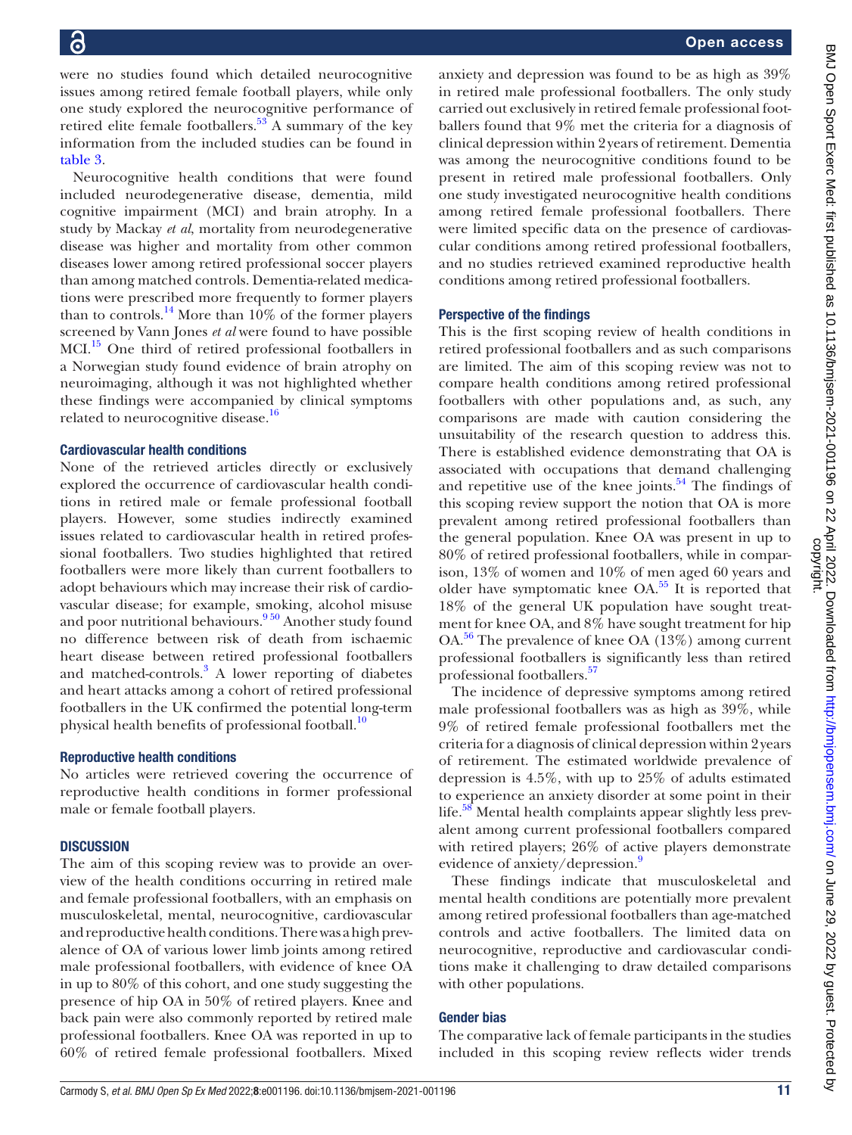were no studies found which detailed neurocognitive issues among retired female football players, while only one study explored the neurocognitive performance of retired elite female footballers.<sup>53</sup> A summary of the key information from the included studies can be found in [table](#page-11-0) 3.

Neurocognitive health conditions that were found included neurodegenerative disease, dementia, mild cognitive impairment (MCI) and brain atrophy. In a study by Mackay *et al*, mortality from neurodegenerative disease was higher and mortality from other common diseases lower among retired professional soccer players than among matched controls. Dementia-related medications were prescribed more frequently to former players than to controls.<sup>14</sup> More than 10% of the former players screened by Vann Jones *et al* were found to have possible MCI.[15](#page-14-38) One third of retired professional footballers in a Norwegian study found evidence of brain atrophy on neuroimaging, although it was not highlighted whether these findings were accompanied by clinical symptoms related to neurocognitive disease.<sup>16</sup>

### Cardiovascular health conditions

None of the retrieved articles directly or exclusively explored the occurrence of cardiovascular health conditions in retired male or female professional football players. However, some studies indirectly examined issues related to cardiovascular health in retired professional footballers. Two studies highlighted that retired footballers were more likely than current footballers to adopt behaviours which may increase their risk of cardiovascular disease; for example, smoking, alcohol misuse and poor nutritional behaviours. $950$  Another study found no difference between risk of death from ischaemic heart disease between retired professional footballers and matched-controls. $3$  A lower reporting of diabetes and heart attacks among a cohort of retired professional footballers in the UK confirmed the potential long-term physical health benefits of professional football.<sup>[10](#page-14-31)</sup>

### Reproductive health conditions

No articles were retrieved covering the occurrence of reproductive health conditions in former professional male or female football players.

### **DISCUSSION**

The aim of this scoping review was to provide an overview of the health conditions occurring in retired male and female professional footballers, with an emphasis on musculoskeletal, mental, neurocognitive, cardiovascular and reproductive health conditions. There was a high prevalence of OA of various lower limb joints among retired male professional footballers, with evidence of knee OA in up to 80% of this cohort, and one study suggesting the presence of hip OA in 50% of retired players. Knee and back pain were also commonly reported by retired male professional footballers. Knee OA was reported in up to 60% of retired female professional footballers. Mixed

anxiety and depression was found to be as high as 39% in retired male professional footballers. The only study carried out exclusively in retired female professional footballers found that 9% met the criteria for a diagnosis of clinical depression within 2years of retirement. Dementia was among the neurocognitive conditions found to be present in retired male professional footballers. Only one study investigated neurocognitive health conditions among retired female professional footballers. There were limited specific data on the presence of cardiovascular conditions among retired professional footballers, and no studies retrieved examined reproductive health conditions among retired professional footballers.

### Perspective of the findings

This is the first scoping review of health conditions in retired professional footballers and as such comparisons are limited. The aim of this scoping review was not to compare health conditions among retired professional footballers with other populations and, as such, any comparisons are made with caution considering the unsuitability of the research question to address this. There is established evidence demonstrating that OA is associated with occupations that demand challenging and repetitive use of the knee joints. $54$  The findings of this scoping review support the notion that OA is more prevalent among retired professional footballers than the general population. Knee OA was present in up to 80% of retired professional footballers, while in comparison, 13% of women and 10% of men aged 60 years and older have symptomatic knee  $OA<sup>55</sup>$  It is reported that 18% of the general UK population have sought treatment for knee OA, and 8% have sought treatment for hip  $OA<sup>56</sup>$  The prevalence of knee OA (13%) among current professional footballers is significantly less than retired professional footballers.<sup>57</sup>

The incidence of depressive symptoms among retired male professional footballers was as high as 39%, while 9% of retired female professional footballers met the criteria for a diagnosis of clinical depression within 2years of retirement. The estimated worldwide prevalence of depression is 4.5%, with up to 25% of adults estimated to experience an anxiety disorder at some point in their life.<sup>58</sup> Mental health complaints appear slightly less prevalent among current professional footballers compared with retired players; 26% of active players demonstrate evidence of anxiety/depression.<sup>9</sup>

These findings indicate that musculoskeletal and mental health conditions are potentially more prevalent among retired professional footballers than age-matched controls and active footballers. The limited data on neurocognitive, reproductive and cardiovascular conditions make it challenging to draw detailed comparisons with other populations.

### Gender bias

The comparative lack of female participants in the studies included in this scoping review reflects wider trends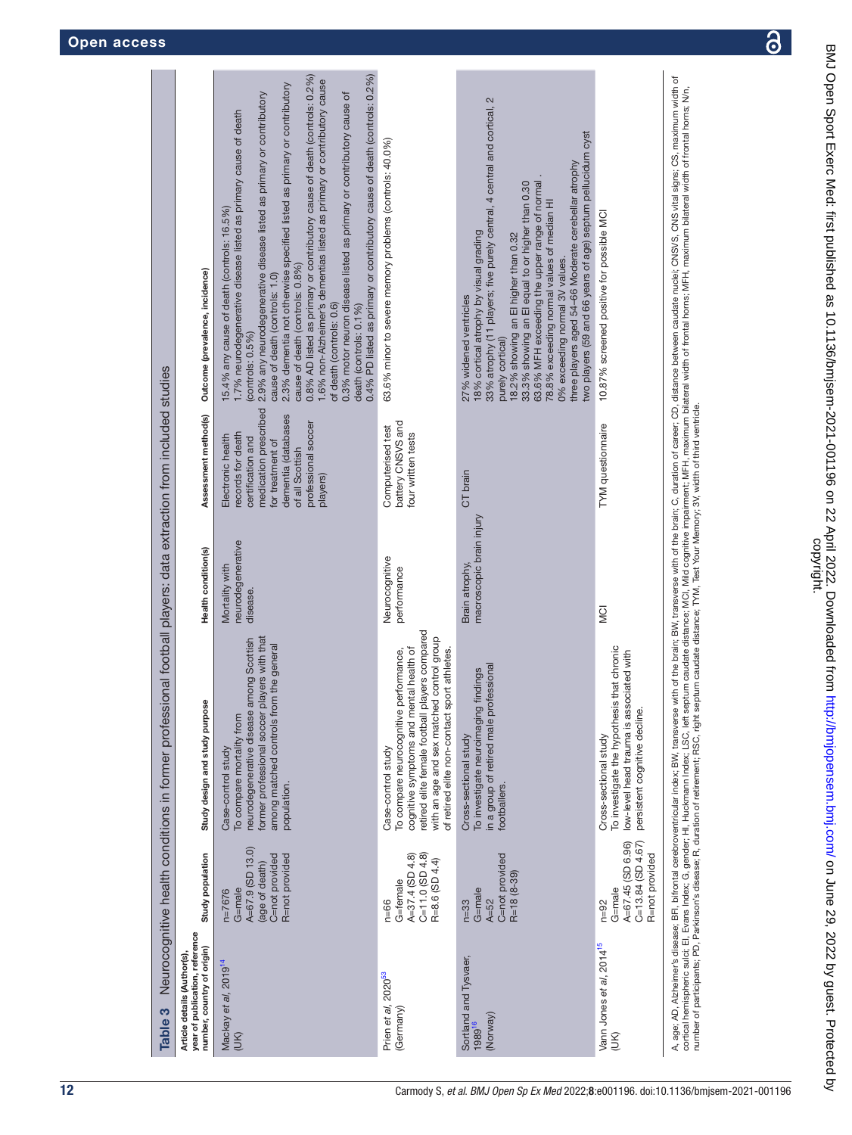Table 3 Neurocognitive health conditions in former professional football players: data extraction from included studies

Table 3 Neurocognitive health conditions in former professional football players: data extraction from included studies

number, country of origin) Study population Study design and study purpose Health condition(s) Assessment method(s) Outcome (prevalence, incidence)

Study design and study purpose

Study population

Health condition(s)

Assessment method(s) Outcome (prevalence, incidence)

<span id="page-11-0"></span>Article details (Author(s), year of publication, reference

Article details (Author(s),<br>year of publication, reference<br>number, country of origin)

| Mackay et al, 2019 <sup>14</sup><br>(UN)               | A=67.9 (SD 13.0)<br>C=not provided<br>R=not provided<br>(age of death)<br>G=male<br>$n = 7676$ | former professional soccer players with that<br>neurodegenerative disease among Scottish<br>among matched controls from the general<br>To compare mortality from<br>Case-control study<br>population.                                                  | neurodegenerative<br>Mortality with<br>disease. | medication prescribed<br>dementia (databases<br>professional soccer<br>records for death<br>Electronic health<br>certification and<br>for treatment of<br>of all Scottish<br>players) | 0.4% PD listed as primary or contributory cause of death (controls: 0.2%)<br>0.8% AD listed as primary or contributory cause of death (controls: 0.2%)<br>1.6% non-Alzheimer's dementias listed as primary or contributory cause<br>2.3% dementia not otherwise specified listed as primary or contributory<br>0.3% motor neuron disease listed as primary or contributory cause of<br>2.9% any neurodegenerative disease listed as primary or contributory<br>1.7% neurodegenerative disease listed as primary cause of death<br>15.4% any cause of death (controls: 16.5%)<br>cause of death (controls: 0.8%)<br>cause of death (controls: 1.0)<br>of death (controls: 0.6)<br>death (controls: 0.1%)<br>$\left($ controls: $0.5\% \right)$ |
|--------------------------------------------------------|------------------------------------------------------------------------------------------------|--------------------------------------------------------------------------------------------------------------------------------------------------------------------------------------------------------------------------------------------------------|-------------------------------------------------|---------------------------------------------------------------------------------------------------------------------------------------------------------------------------------------|-----------------------------------------------------------------------------------------------------------------------------------------------------------------------------------------------------------------------------------------------------------------------------------------------------------------------------------------------------------------------------------------------------------------------------------------------------------------------------------------------------------------------------------------------------------------------------------------------------------------------------------------------------------------------------------------------------------------------------------------------|
| Prien et al, 2020 <sup>53</sup><br>(Germany)           | A=37.4 (SD 4.8)<br>C=11.0 (SD 4.8)<br>R=8.6 (SD 4.4)<br>G=female<br>$n = 66$                   | retired elite female football players compared<br>with an age and sex matched control group<br>cognitive symptoms and mental health of<br>of retired elite non-contact sport athletes.<br>To compare neurocognitive performance,<br>Case-control study | Neurocognitive<br>performance                   | battery CNSVS and<br>Computerised test<br>four written tests                                                                                                                          | 63.6% minor to severe memory problems (controls: 40.0%)                                                                                                                                                                                                                                                                                                                                                                                                                                                                                                                                                                                                                                                                                       |
| Sortland and Tysvaer,<br>(Norway)<br>198916            | C=not provided<br>$R = 18(8 - 39)$<br>G=male<br>$A = 52$<br>$n = 33$                           | n a group of retired male professional<br>To investigate neuroimaging findings<br>Cross-sectional study<br>footballers.                                                                                                                                | macroscopic brain injury<br>Brain atrophy,      | CT brain                                                                                                                                                                              | 33% atrophy (11 players; five purely central, 4 central and cortical, 2<br>two players (59 and 66 years of age) septum pellucidum cyst<br>three players aged 54-66 Moderate cerebellar atrophy<br>63.6% MFH exceeding the upper range of normal<br>33.3% showing an El equal to or higher than 0.30<br>78.8% exceeding normal values of median HI<br>18% cortical atrophy by visual grading<br>18.2% showing an El higher than 0.32<br>0% exceeding normal 3V values.<br>27% widened ventricles<br>purely cortical)                                                                                                                                                                                                                           |
| Vann Jones et al, 2014 <sup>15</sup><br>$\overline{3}$ | C=13.84 (SD 4.67)<br>A=67.45 (SD 6.96)<br>R=not provided<br>G=male<br>$n = 92$                 | To investigate the hypothesis that chronic<br>iated with<br>low-level head trauma is assoc<br>persistent cognitive decline.<br>Cross-sectional study                                                                                                   | <b>SI</b>                                       | TYM questionnaire                                                                                                                                                                     | 10.87% screened positive for possible MCI                                                                                                                                                                                                                                                                                                                                                                                                                                                                                                                                                                                                                                                                                                     |
|                                                        |                                                                                                | number of participants; PD, Parkinson's disease; R, duration of retirement; RSC, right septum caudate distance; TYM, Test Your Memory; 3V, width of third ventricle.                                                                                   |                                                 |                                                                                                                                                                                       | A, age; AD, Alzheimer's disease; BFI, bifrontal cerebroventricular index; BW, transverse with of the brain; C, duration of career; CD, distance between caudate nuclei; CNSVS, CNS vital signs; CS, maximum width of<br>cortical                                                                                                                                                                                                                                                                                                                                                                                                                                                                                                              |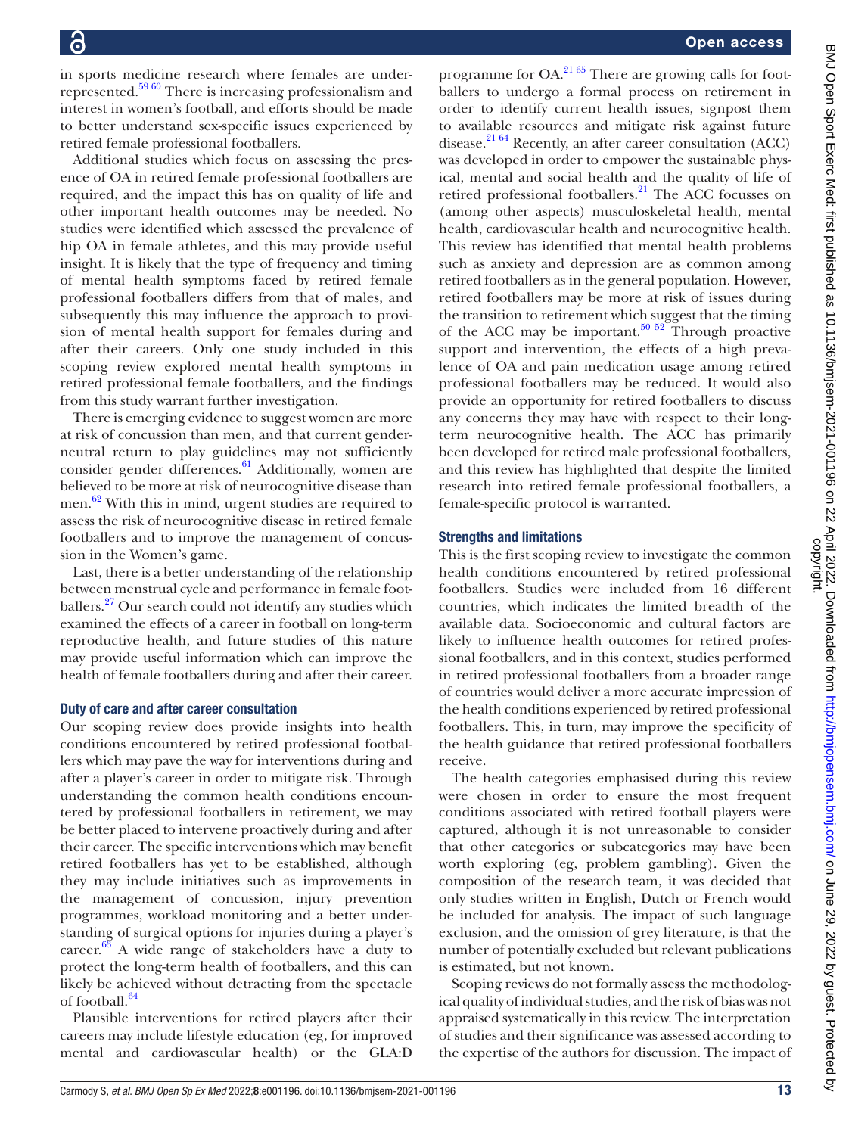in sports medicine research where females are underrepresented.[59 60](#page-14-45) There is increasing professionalism and interest in women's football, and efforts should be made to better understand sex-specific issues experienced by retired female professional footballers.

Additional studies which focus on assessing the presence of OA in retired female professional footballers are required, and the impact this has on quality of life and other important health outcomes may be needed. No studies were identified which assessed the prevalence of hip OA in female athletes, and this may provide useful insight. It is likely that the type of frequency and timing of mental health symptoms faced by retired female professional footballers differs from that of males, and subsequently this may influence the approach to provision of mental health support for females during and after their careers. Only one study included in this scoping review explored mental health symptoms in retired professional female footballers, and the findings from this study warrant further investigation.

There is emerging evidence to suggest women are more at risk of concussion than men, and that current genderneutral return to play guidelines may not sufficiently consider gender differences. $61$  Additionally, women are believed to be more at risk of neurocognitive disease than men.<sup>[62](#page-15-6)</sup> With this in mind, urgent studies are required to assess the risk of neurocognitive disease in retired female footballers and to improve the management of concussion in the Women's game.

Last, there is a better understanding of the relationship between menstrual cycle and performance in female footballers[.27](#page-14-8) Our search could not identify any studies which examined the effects of a career in football on long-term reproductive health, and future studies of this nature may provide useful information which can improve the health of female footballers during and after their career.

### Duty of care and after career consultation

Our scoping review does provide insights into health conditions encountered by retired professional footballers which may pave the way for interventions during and after a player's career in order to mitigate risk. Through understanding the common health conditions encountered by professional footballers in retirement, we may be better placed to intervene proactively during and after their career. The specific interventions which may benefit retired footballers has yet to be established, although they may include initiatives such as improvements in the management of concussion, injury prevention programmes, workload monitoring and a better understanding of surgical options for injuries during a player's career. $63$  A wide range of stakeholders have a duty to protect the long-term health of footballers, and this can likely be achieved without detracting from the spectacle of football.<sup>[64](#page-15-8)</sup>

Plausible interventions for retired players after their careers may include lifestyle education (eg, for improved mental and cardiovascular health) or the GLA:D

programme for  $OA<sup>21 65</sup>$  There are growing calls for footballers to undergo a formal process on retirement in order to identify current health issues, signpost them to available resources and mitigate risk against future disease.<sup>21 64</sup> Recently, an after career consultation (ACC) was developed in order to empower the sustainable physical, mental and social health and the quality of life of retired professional footballers[.21](#page-14-4) The ACC focusses on (among other aspects) musculoskeletal health, mental health, cardiovascular health and neurocognitive health. This review has identified that mental health problems such as anxiety and depression are as common among retired footballers as in the general population. However, retired footballers may be more at risk of issues during the transition to retirement which suggest that the timing of the ACC may be important.<sup>50 52</sup> Through proactive support and intervention, the effects of a high prevalence of OA and pain medication usage among retired professional footballers may be reduced. It would also provide an opportunity for retired footballers to discuss any concerns they may have with respect to their longterm neurocognitive health. The ACC has primarily been developed for retired male professional footballers, and this review has highlighted that despite the limited research into retired female professional footballers, a female-specific protocol is warranted.

### Strengths and limitations

This is the first scoping review to investigate the common health conditions encountered by retired professional footballers. Studies were included from 16 different countries, which indicates the limited breadth of the available data. Socioeconomic and cultural factors are likely to influence health outcomes for retired professional footballers, and in this context, studies performed in retired professional footballers from a broader range of countries would deliver a more accurate impression of the health conditions experienced by retired professional footballers. This, in turn, may improve the specificity of the health guidance that retired professional footballers receive.

The health categories emphasised during this review were chosen in order to ensure the most frequent conditions associated with retired football players were captured, although it is not unreasonable to consider that other categories or subcategories may have been worth exploring (eg, problem gambling). Given the composition of the research team, it was decided that only studies written in English, Dutch or French would be included for analysis. The impact of such language exclusion, and the omission of grey literature, is that the number of potentially excluded but relevant publications is estimated, but not known.

Scoping reviews do not formally assess the methodological quality of individual studies, and the risk of bias was not appraised systematically in this review. The interpretation of studies and their significance was assessed according to the expertise of the authors for discussion. The impact of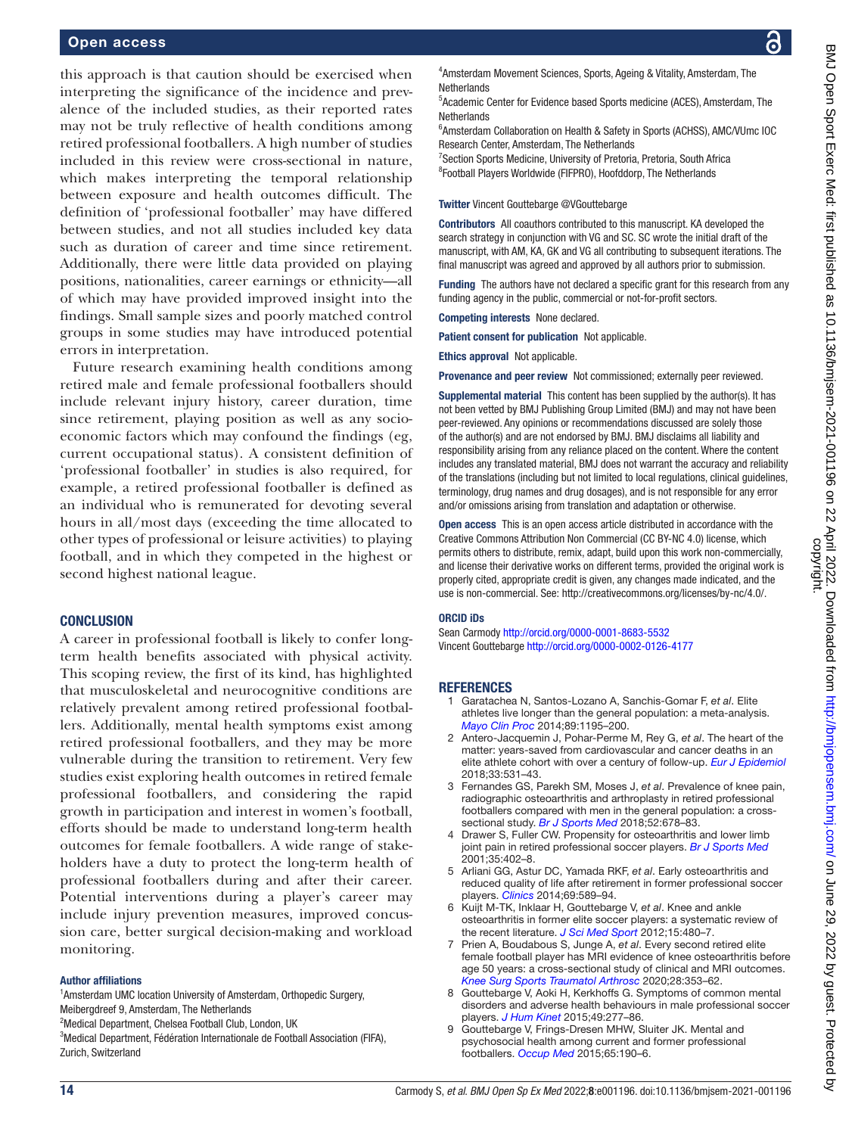this approach is that caution should be exercised when interpreting the significance of the incidence and prevalence of the included studies, as their reported rates may not be truly reflective of health conditions among retired professional footballers. A high number of studies included in this review were cross-sectional in nature, which makes interpreting the temporal relationship between exposure and health outcomes difficult. The definition of 'professional footballer' may have differed between studies, and not all studies included key data such as duration of career and time since retirement. Additionally, there were little data provided on playing positions, nationalities, career earnings or ethnicity—all of which may have provided improved insight into the findings. Small sample sizes and poorly matched control groups in some studies may have introduced potential errors in interpretation.

Future research examining health conditions among retired male and female professional footballers should include relevant injury history, career duration, time since retirement, playing position as well as any socioeconomic factors which may confound the findings (eg, current occupational status). A consistent definition of 'professional footballer' in studies is also required, for example, a retired professional footballer is defined as an individual who is remunerated for devoting several hours in all/most days (exceeding the time allocated to other types of professional or leisure activities) to playing football, and in which they competed in the highest or second highest national league.

### **CONCLUSION**

A career in professional football is likely to confer longterm health benefits associated with physical activity. This scoping review, the first of its kind, has highlighted that musculoskeletal and neurocognitive conditions are relatively prevalent among retired professional footballers. Additionally, mental health symptoms exist among retired professional footballers, and they may be more vulnerable during the transition to retirement. Very few studies exist exploring health outcomes in retired female professional footballers, and considering the rapid growth in participation and interest in women's football, efforts should be made to understand long-term health outcomes for female footballers. A wide range of stakeholders have a duty to protect the long-term health of professional footballers during and after their career. Potential interventions during a player's career may include injury prevention measures, improved concussion care, better surgical decision-making and workload monitoring.

### Author affiliations

<sup>1</sup> Amsterdam UMC location University of Amsterdam, Orthopedic Surgery, Meibergdreef 9, Amsterdam, The Netherlands

<sup>2</sup>Medical Department, Chelsea Football Club, London, UK

<sup>3</sup>Medical Department, Fédération Internationale de Football Association (FIFA), Zurich, Switzerland

4 Amsterdam Movement Sciences, Sports, Ageing & Vitality, Amsterdam, The

Я

5 Academic Center for Evidence based Sports medicine (ACES), Amsterdam, The **Netherlands** 

6 Amsterdam Collaboration on Health & Safety in Sports (ACHSS), AMC/VUmc IOC Research Center, Amsterdam, The Netherlands

<sup>7</sup> Section Sports Medicine, University of Pretoria, Pretoria, South Africa 8 Football Players Worldwide (FIFPRO), Hoofddorp, The Netherlands

Twitter Vincent Gouttebarge [@VGouttebarge](https://twitter.com/VGouttebarge)

**Netherlands** 

Contributors All coauthors contributed to this manuscript. KA developed the search strategy in conjunction with VG and SC. SC wrote the initial draft of the manuscript, with AM, KA, GK and VG all contributing to subsequent iterations. The final manuscript was agreed and approved by all authors prior to submission.

Funding The authors have not declared a specific grant for this research from any funding agency in the public, commercial or not-for-profit sectors.

Competing interests None declared.

Patient consent for publication Not applicable.

Ethics approval Not applicable.

Provenance and peer review Not commissioned; externally peer reviewed.

Supplemental material This content has been supplied by the author(s). It has not been vetted by BMJ Publishing Group Limited (BMJ) and may not have been peer-reviewed. Any opinions or recommendations discussed are solely those of the author(s) and are not endorsed by BMJ. BMJ disclaims all liability and responsibility arising from any reliance placed on the content. Where the content includes any translated material, BMJ does not warrant the accuracy and reliability of the translations (including but not limited to local regulations, clinical guidelines, terminology, drug names and drug dosages), and is not responsible for any error and/or omissions arising from translation and adaptation or otherwise.

Open access This is an open access article distributed in accordance with the Creative Commons Attribution Non Commercial (CC BY-NC 4.0) license, which permits others to distribute, remix, adapt, build upon this work non-commercially, and license their derivative works on different terms, provided the original work is properly cited, appropriate credit is given, any changes made indicated, and the use is non-commercial. See:<http://creativecommons.org/licenses/by-nc/4.0/>.

### ORCID iDs

Sean Carmody <http://orcid.org/0000-0001-8683-5532> Vincent Gouttebarge <http://orcid.org/0000-0002-0126-4177>

### REFERENCES

- <span id="page-13-0"></span>1 Garatachea N, Santos-Lozano A, Sanchis-Gomar F, *et al*. Elite athletes live longer than the general population: a meta-analysis. *[Mayo Clin Proc](http://dx.doi.org/10.1016/j.mayocp.2014.06.004)* 2014;89:1195–200.
- 2 Antero-Jacquemin J, Pohar-Perme M, Rey G, *et al*. The heart of the matter: years-saved from cardiovascular and cancer deaths in an elite athlete cohort with over a century of follow-up. *[Eur J Epidemiol](http://dx.doi.org/10.1007/s10654-018-0401-0)* 2018;33:531–43.
- <span id="page-13-1"></span>3 Fernandes GS, Parekh SM, Moses J, *et al*. Prevalence of knee pain, radiographic osteoarthritis and arthroplasty in retired professional footballers compared with men in the general population: a crosssectional study. *[Br J Sports Med](http://dx.doi.org/10.1136/bjsports-2017-097503)* 2018;52:678–83.
- <span id="page-13-4"></span>4 Drawer S, Fuller CW. Propensity for osteoarthritis and lower limb joint pain in retired professional soccer players. *[Br J Sports Med](http://dx.doi.org/10.1136/bjsm.35.6.402)* 2001;35:402–8.
- <span id="page-13-6"></span>5 Arliani GG, Astur DC, Yamada RKF, *et al*. Early osteoarthritis and reduced quality of life after retirement in former professional soccer players. *[Clinics](http://dx.doi.org/10.6061/clinics/2014(09)03)* 2014;69:589–94.
- 6 Kuijt M-TK, Inklaar H, Gouttebarge V, *et al*. Knee and ankle osteoarthritis in former elite soccer players: a systematic review of the recent literature. *[J Sci Med Sport](http://dx.doi.org/10.1016/j.jsams.2012.02.008)* 2012;15:480–7.
- <span id="page-13-5"></span>7 Prien A, Boudabous S, Junge A, *et al*. Every second retired elite female football player has MRI evidence of knee osteoarthritis before age 50 years: a cross-sectional study of clinical and MRI outcomes. *[Knee Surg Sports Traumatol Arthrosc](http://dx.doi.org/10.1007/s00167-019-05560-w)* 2020;28:353–62.
- <span id="page-13-2"></span>8 Gouttebarge V, Aoki H, Kerkhoffs G. Symptoms of common mental disorders and adverse health behaviours in male professional soccer players. *[J Hum Kinet](http://dx.doi.org/10.1515/hukin-2015-0130)* 2015;49:277–86.
- <span id="page-13-3"></span>9 Gouttebarge V, Frings-Dresen MHW, Sluiter JK. Mental and psychosocial health among current and former professional footballers. *[Occup Med](http://dx.doi.org/10.1093/occmed/kqu202)* 2015;65:190–6.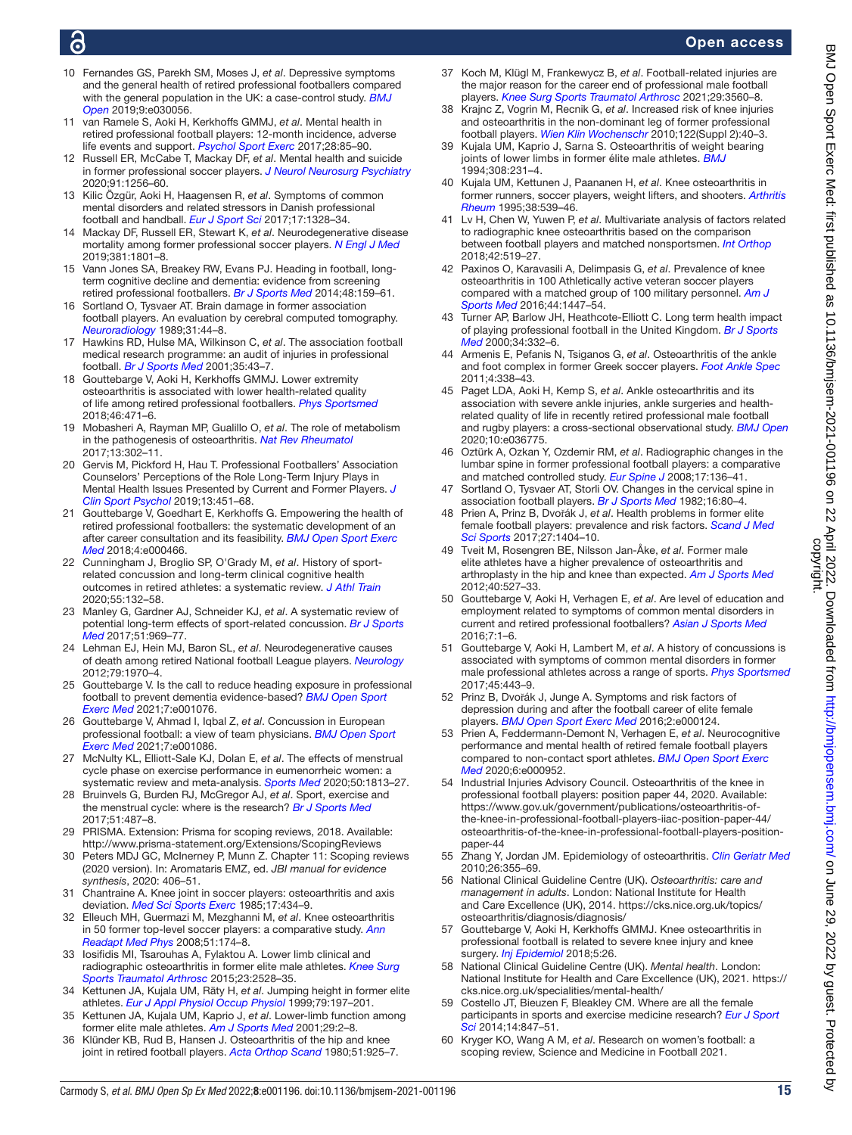- <span id="page-14-31"></span>10 Fernandes GS, Parekh SM, Moses J, *et al*. Depressive symptoms and the general health of retired professional footballers compared with the general population in the UK: a case-control study. *[BMJ](http://dx.doi.org/10.1136/bmjopen-2019-030056)  [Open](http://dx.doi.org/10.1136/bmjopen-2019-030056)* 2019;9:e030056.
- <span id="page-14-36"></span>11 van Ramele S, Aoki H, Kerkhoffs GMMJ, *et al*. Mental health in retired professional football players: 12-month incidence, adverse life events and support. *[Psychol Sport Exerc](http://dx.doi.org/10.1016/j.psychsport.2016.10.009)* 2017;28:85–90.
- <span id="page-14-32"></span>12 Russell ER, McCabe T, Mackay DF, *et al*. Mental health and suicide in former professional soccer players. *[J Neurol Neurosurg Psychiatry](http://dx.doi.org/10.1136/jnnp-2020-323315)* 2020;91:1256–60.
- <span id="page-14-30"></span>13 Kilic Özgür, Aoki H, Haagensen R, *et al*. Symptoms of common mental disorders and related stressors in Danish professional football and handball. *[Eur J Sport Sci](http://dx.doi.org/10.1080/17461391.2017.1381768)* 2017;17:1328–34.
- <span id="page-14-0"></span>14 Mackay DF, Russell ER, Stewart K, *et al*. Neurodegenerative disease mortality among former professional soccer players. *[N Engl J Med](http://dx.doi.org/10.1056/NEJMoa1908483)* 2019;381:1801–8.
- <span id="page-14-38"></span>15 Vann Jones SA, Breakey RW, Evans PJ. Heading in football, longterm cognitive decline and dementia: evidence from screening retired professional footballers. *[Br J Sports Med](http://dx.doi.org/10.1136/bjsports-2013-092758)* 2014;48:159–61.
- <span id="page-14-39"></span>16 Sortland O, Tysvaer AT. Brain damage in former association football players. An evaluation by cerebral computed tomography. *[Neuroradiology](http://dx.doi.org/10.1007/BF00342029)* 1989;31:44–8.
- <span id="page-14-1"></span>17 Hawkins RD, Hulse MA, Wilkinson C, *et al*. The association football medical research programme: an audit of injuries in professional football. *[Br J Sports Med](http://dx.doi.org/10.1136/bjsm.35.1.43)* 2001;35:43–7.
- <span id="page-14-2"></span>18 Gouttebarge V, Aoki H, Kerkhoffs GMMJ. Lower extremity osteoarthritis is associated with lower health-related quality of life among retired professional footballers. *[Phys Sportsmed](http://dx.doi.org/10.1080/00913847.2018.1451718)* 2018;46:471–6.
- 19 Mobasheri A, Rayman MP, Gualillo O, *et al*. The role of metabolism in the pathogenesis of osteoarthritis. *[Nat Rev Rheumatol](http://dx.doi.org/10.1038/nrrheum.2017.50)* 2017;13:302–11.
- <span id="page-14-3"></span>20 Gervis M, Pickford H, Hau T. Professional Footballers' Association Counselors' Perceptions of the Role Long-Term Injury Plays in Mental Health Issues Presented by Current and Former Players. *[J](http://dx.doi.org/10.1123/jcsp.2018-0049)  [Clin Sport Psychol](http://dx.doi.org/10.1123/jcsp.2018-0049)* 2019;13:451–68.
- <span id="page-14-4"></span>21 Gouttebarge V, Goedhart E, Kerkhoffs G. Empowering the health of retired professional footballers: the systematic development of an after career consultation and its feasibility. *[BMJ Open Sport Exerc](http://dx.doi.org/10.1136/bmjsem-2018-000466)  [Med](http://dx.doi.org/10.1136/bmjsem-2018-000466)* 2018;4:e000466.
- <span id="page-14-5"></span>22 Cunningham J, Broglio SP, O'Grady M, *et al*. History of sportrelated concussion and long-term clinical cognitive health outcomes in retired athletes: a systematic review. *[J Athl Train](http://dx.doi.org/10.4085/1062-6050-297-18)* 2020;55:132–58.
- 23 Manley G, Gardner AJ, Schneider KJ, *et al*. A systematic review of potential long-term effects of sport-related concussion. *[Br J Sports](http://dx.doi.org/10.1136/bjsports-2017-097791)  [Med](http://dx.doi.org/10.1136/bjsports-2017-097791)* 2017;51:969–77.
- 24 Lehman EJ, Hein MJ, Baron SL, *et al*. Neurodegenerative causes of death among retired National football League players. *[Neurology](http://dx.doi.org/10.1212/WNL.0b013e31826daf50)* 2012;79:1970–4.
- <span id="page-14-6"></span>25 Gouttebarge V. Is the call to reduce heading exposure in professional football to prevent dementia evidence-based? *[BMJ Open Sport](http://dx.doi.org/10.1136/bmjsem-2021-001076)  [Exerc Med](http://dx.doi.org/10.1136/bmjsem-2021-001076)* 2021;7:e001076.
- <span id="page-14-7"></span>26 Gouttebarge V, Ahmad I, Iqbal Z, *et al*. Concussion in European professional football: a view of team physicians. *[BMJ Open Sport](http://dx.doi.org/10.1136/bmjsem-2021-001086)  [Exerc Med](http://dx.doi.org/10.1136/bmjsem-2021-001086)* 2021;7:e001086.
- <span id="page-14-8"></span>27 McNulty KL, Elliott-Sale KJ, Dolan E, *et al*. The effects of menstrual cycle phase on exercise performance in eumenorrheic women: a systematic review and meta-analysis. *[Sports Med](http://dx.doi.org/10.1007/s40279-020-01319-3)* 2020;50:1813–27.
- <span id="page-14-9"></span>28 Bruinvels G, Burden RJ, McGregor AJ, *et al*. Sport, exercise and the menstrual cycle: where is the research? *[Br J Sports Med](http://dx.doi.org/10.1136/bjsports-2016-096279)* 2017;51:487–8.
- <span id="page-14-10"></span>29 PRISMA. Extension: Prisma for scoping reviews, 2018. Available: <http://www.prisma-statement.org/Extensions/ScopingReviews>
- 30 Peters MDJ GC, McInerney P, Munn Z. Chapter 11: Scoping reviews (2020 version). In: Aromataris EMZ, ed. *JBI manual for evidence synthesis*, 2020: 406–51.
- <span id="page-14-17"></span>31 Chantraine A. Knee joint in soccer players: osteoarthritis and axis deviation. *[Med Sci Sports Exerc](http://dx.doi.org/10.1249/00005768-198508000-00005)* 1985;17:434–9.
- <span id="page-14-18"></span>32 Elleuch MH, Guermazi M, Mezghanni M, *et al*. Knee osteoarthritis in 50 former top-level soccer players: a comparative study. *[Ann](http://dx.doi.org/10.1016/j.annrmp.2008.01.003)  [Readapt Med Phys](http://dx.doi.org/10.1016/j.annrmp.2008.01.003)* 2008;51:174–8.
- <span id="page-14-19"></span>33 Iosifidis MI, Tsarouhas A, Fylaktou A. Lower limb clinical and radiographic osteoarthritis in former elite male athletes. *[Knee Surg](http://dx.doi.org/10.1007/s00167-014-3047-9)  [Sports Traumatol Arthrosc](http://dx.doi.org/10.1007/s00167-014-3047-9)* 2015;23:2528–35.
- <span id="page-14-12"></span>34 Kettunen JA, Kujala UM, Räty H, *et al*. Jumping height in former elite athletes. *[Eur J Appl Physiol Occup Physiol](http://dx.doi.org/10.1007/s004210050495)* 1999;79:197–201.
- <span id="page-14-20"></span>35 Kettunen JA, Kujala UM, Kaprio J, *et al*. Lower-limb function among former elite male athletes. *[Am J Sports Med](http://dx.doi.org/10.1177/03635465010290010801)* 2001;29:2–8.
- <span id="page-14-21"></span>36 Klünder KB, Rud B, Hansen J. Osteoarthritis of the hip and knee joint in retired football players. *[Acta Orthop Scand](http://dx.doi.org/10.3109/17453678008990896)* 1980;51:925–7.
- <span id="page-14-22"></span>37 Koch M, Klügl M, Frankewycz B, *et al*. Football-related injuries are the major reason for the career end of professional male football players. *[Knee Surg Sports Traumatol Arthrosc](http://dx.doi.org/10.1007/s00167-021-06684-8)* 2021;29:3560–8.
- <span id="page-14-23"></span>38 Krajnc Z, Vogrin M, Recnik G, *et al*. Increased risk of knee injuries and osteoarthritis in the non-dominant leg of former professional football players. *[Wien Klin Wochenschr](http://dx.doi.org/10.1007/s00508-010-1341-1)* 2010;122(Suppl 2):40–3.
- <span id="page-14-24"></span>39 Kujala UM, Kaprio J, Sarna S. Osteoarthritis of weight bearing joints of lower limbs in former élite male athletes. *[BMJ](http://dx.doi.org/10.1136/bmj.308.6923.231)* 1994;308:231–4.
- <span id="page-14-25"></span>40 Kujala UM, Kettunen J, Paananen H, *et al*. Knee osteoarthritis in former runners, soccer players, weight lifters, and shooters. *[Arthritis](http://dx.doi.org/10.1002/art.1780380413)  [Rheum](http://dx.doi.org/10.1002/art.1780380413)* 1995;38:539–46.
- <span id="page-14-11"></span>41 Lv H, Chen W, Yuwen P, *et al*. Multivariate analysis of factors related to radiographic knee osteoarthritis based on the comparison between football players and matched nonsportsmen. *[Int Orthop](http://dx.doi.org/10.1007/s00264-018-3797-y)* 2018;42:519–27.
- <span id="page-14-27"></span>42 Paxinos O, Karavasili A, Delimpasis G, *et al*. Prevalence of knee osteoarthritis in 100 Athletically active veteran soccer players compared with a matched group of 100 military personnel. *[Am J](http://dx.doi.org/10.1177/0363546516629648)  [Sports Med](http://dx.doi.org/10.1177/0363546516629648)* 2016;44:1447–54.
- <span id="page-14-28"></span>43 Turner AP, Barlow JH, Heathcote-Elliott C. Long term health impact of playing professional football in the United Kingdom. *[Br J Sports](http://dx.doi.org/10.1136/bjsm.34.5.332)  [Med](http://dx.doi.org/10.1136/bjsm.34.5.332)* 2000;34:332–6.
- <span id="page-14-16"></span>44 Armenis E, Pefanis N, Tsiganos G, *et al*. Osteoarthritis of the ankle and foot complex in former Greek soccer players. *[Foot Ankle Spec](http://dx.doi.org/10.1177/1938640011422595)* 2011;4:338–43.
- <span id="page-14-26"></span>45 Paget LDA, Aoki H, Kemp S, *et al*. Ankle osteoarthritis and its association with severe ankle injuries, ankle surgeries and healthrelated quality of life in recently retired professional male football and rugby players: a cross-sectional observational study. *[BMJ Open](http://dx.doi.org/10.1136/bmjopen-2020-036775)* 2020;10:e036775.
- <span id="page-14-13"></span>46 Oztürk A, Ozkan Y, Ozdemir RM, *et al*. Radiographic changes in the lumbar spine in former professional football players: a comparative and matched controlled study. *[Eur Spine J](http://dx.doi.org/10.1007/s00586-007-0535-3)* 2008;17:136–41.
- <span id="page-14-14"></span>47 Sortland O, Tysvaer AT, Storli OV. Changes in the cervical spine in association football players. *[Br J Sports Med](http://dx.doi.org/10.1136/bjsm.16.2.80)* 1982;16:80–4.
- <span id="page-14-15"></span>48 Prien A, Prinz B, Dvořák J, *et al*. Health problems in former elite female football players: prevalence and risk factors. *[Scand J Med](http://dx.doi.org/10.1111/sms.12747)  [Sci Sports](http://dx.doi.org/10.1111/sms.12747)* 2017;27:1404–10.
- <span id="page-14-29"></span>49 Tveit M, Rosengren BE, Nilsson Jan-Åke, *et al*. Former male elite athletes have a higher prevalence of osteoarthritis and arthroplasty in the hip and knee than expected. *[Am J Sports Med](http://dx.doi.org/10.1177/0363546511429278)* 2012;40:527–33.
- <span id="page-14-35"></span>50 Gouttebarge V, Aoki H, Verhagen E, *et al*. Are level of education and employment related to symptoms of common mental disorders in current and retired professional footballers? *[Asian J Sports Med](http://dx.doi.org/10.5812/asjsm.28447)* 2016;7:1–6.
- <span id="page-14-34"></span>51 Gouttebarge V, Aoki H, Lambert M, *et al*. A history of concussions is associated with symptoms of common mental disorders in former male professional athletes across a range of sports. *[Phys Sportsmed](http://dx.doi.org/10.1080/00913847.2017.1376572)* 2017;45:443–9.
- <span id="page-14-33"></span>52 Prinz B, Dvořák J, Junge A. Symptoms and risk factors of depression during and after the football career of elite female players. *[BMJ Open Sport Exerc Med](http://dx.doi.org/10.1136/bmjsem-2016-000124)* 2016;2:e000124.
- <span id="page-14-37"></span>53 Prien A, Feddermann-Demont N, Verhagen E, *et al*. Neurocognitive performance and mental health of retired female football players compared to non-contact sport athletes. *[BMJ Open Sport Exerc](http://dx.doi.org/10.1136/bmjsem-2020-000952)  [Med](http://dx.doi.org/10.1136/bmjsem-2020-000952)* 2020;6:e000952.
- <span id="page-14-40"></span>54 Industrial Injuries Advisory Council. Osteoarthritis of the knee in professional football players: position paper 44, 2020. Available: [https://www.gov.uk/government/publications/osteoarthritis-of](https://www.gov.uk/government/publications/osteoarthritis-of-the-knee-in-professional-football-players-iiac-position-paper-44/osteoarthritis-of-the-knee-in-professional-football-players-position-paper-44)[the-knee-in-professional-football-players-iiac-position-paper-44/](https://www.gov.uk/government/publications/osteoarthritis-of-the-knee-in-professional-football-players-iiac-position-paper-44/osteoarthritis-of-the-knee-in-professional-football-players-position-paper-44) [osteoarthritis-of-the-knee-in-professional-football-players-position](https://www.gov.uk/government/publications/osteoarthritis-of-the-knee-in-professional-football-players-iiac-position-paper-44/osteoarthritis-of-the-knee-in-professional-football-players-position-paper-44)[paper-44](https://www.gov.uk/government/publications/osteoarthritis-of-the-knee-in-professional-football-players-iiac-position-paper-44/osteoarthritis-of-the-knee-in-professional-football-players-position-paper-44)
- <span id="page-14-41"></span>55 Zhang Y, Jordan JM. Epidemiology of osteoarthritis. *[Clin Geriatr Med](http://dx.doi.org/10.1016/j.cger.2010.03.001)* 2010;26:355–69.
- <span id="page-14-42"></span>56 National Clinical Guideline Centre (UK). *Osteoarthritis: care and management in adults*. London: National Institute for Health and Care Excellence (UK), 2014. [https://cks.nice.org.uk/topics/](https://cks.nice.org.uk/topics/osteoarthritis/diagnosis/diagnosis/) [osteoarthritis/diagnosis/diagnosis/](https://cks.nice.org.uk/topics/osteoarthritis/diagnosis/diagnosis/)
- <span id="page-14-43"></span>57 Gouttebarge V, Aoki H, Kerkhoffs GMMJ. Knee osteoarthritis in professional football is related to severe knee injury and knee surgery. *[Inj Epidemiol](http://dx.doi.org/10.1186/s40621-018-0157-8)* 2018;5:26.
- <span id="page-14-44"></span>58 National Clinical Guideline Centre (UK). *Mental health*. London: National Institute for Health and Care Excellence (UK), 2021. [https://](https://cks.nice.org.uk/specialities/mental-health/) [cks.nice.org.uk/specialities/mental-health/](https://cks.nice.org.uk/specialities/mental-health/)
- <span id="page-14-45"></span>59 Costello JT, Bieuzen F, Bleakley CM. Where are all the female participants in sports and exercise medicine research? *[Eur J Sport](http://dx.doi.org/10.1080/17461391.2014.911354)  [Sci](http://dx.doi.org/10.1080/17461391.2014.911354)* 2014;14:847–51.
- 60 Kryger KO, Wang A M, *et al*. Research on women's football: a scoping review, Science and Medicine in Football 2021.

 $\overline{q}$